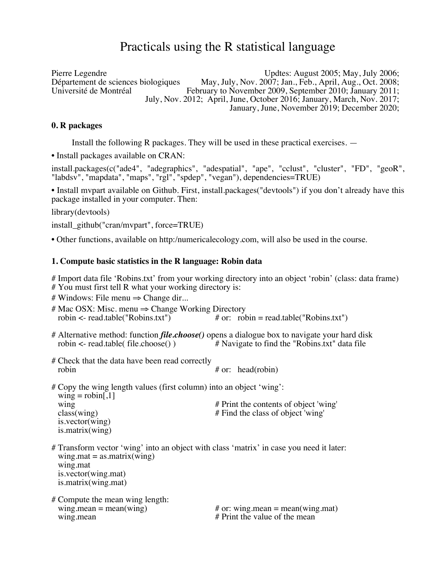# Practicals using the R statistical language

Pierre Legendre Updtes: August 2005; May, July 2006; Département de sciences biologiques May, July, Nov. 2007; Jan., Feb., April, Aug., Oct. 2008; February to November 2009, September 2010; January 2011; July, Nov. 2012; April, June, October 2016; January, March, Nov. 2017; January, June, November 2019; December 2020;

#### **0. R packages**

Install the following R packages. They will be used in these practical exercises. —

• Install packages available on CRAN:

install.packages(c("ade4", "adegraphics", "adespatial", "ape", "cclust", "cluster", "FD", "geoR", "labdsv", "mapdata", "maps", "rgl", "spdep", "vegan"), dependencies=TRUE)

• Install mvpart available on Github. First, install.packages("devtools") if you don't already have this package installed in your computer. Then:

library(devtools)

install\_github("cran/mvpart", force=TRUE)

• Other functions, available on http:/numericalecology.com, will also be used in the course.

#### **1. Compute basic statistics in the R language: Robin data**

# Import data file 'Robins.txt' from your working directory into an object 'robin' (class: data frame)

# You must first tell R what your working directory is:

# Windows: File menu  $\Rightarrow$  Change dir...

- # Mac OSX: Misc. menu  $\Rightarrow$  Change Working Directory<br>robin <- read.table("Robins.txt") # or: rob # or:  $robin = read.table("Robins.txt")$
- # Alternative method: function *file.choose()* opens a dialogue box to navigate your hard disk robin  $\le$ - read.table( file.choose()) # Navigate to find the "Robins.txt" data file
- # Check that the data have been read correctly robin  $#$  or: head(robin)
- # Copy the wing length values (first column) into an object 'wing':  $wing = robin[1]$ wing  $\#$  Print the contents of object 'wing' class(wing)  $\#$  Find the class of object 'wing' is.vector(wing) is.matrix(wing)
- # Transform vector 'wing' into an object with class 'matrix' in case you need it later:  $wing.math = as.mathix(wing)$  wing.mat is.vector(wing.mat) is.matrix(wing.mat)
- # Compute the mean wing length: wing mean  $\#$  Print the value of the mean

wing.mean = mean(wing)  $\#$  or: wing.mean = mean(wing.mat)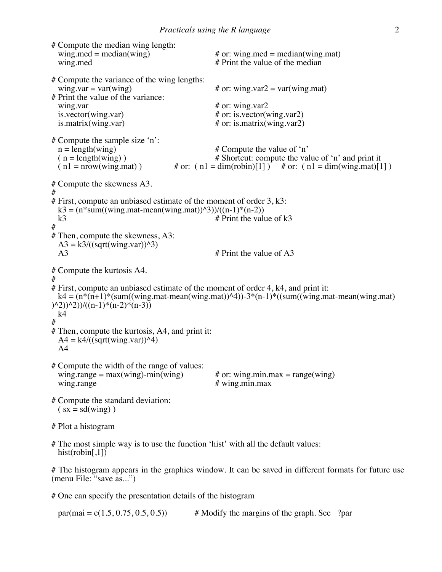# Compute the median wing length:<br>wing med = median(wing) wing.med = median(wing)  $#$  or: wing.med = median(wing.mat)<br>wing.med  $#$  Print the value of the median  $#$  Print the value of the median # Compute the variance of the wing lengths:<br>wing var =  $var(wing)$ # or: wing.var $2 = \text{var}( \text{wing.mat})$ # Print the value of the variance: wing.var <br>  $\#$  or: wing.var <br>
is.vector(wing.var)  $\#$  or: is.vector(v is.vector(wing.var)  $\#$  or: is.vector(wing.var2)<br>is.matrix(wing.var)  $\#$  or: is.matrix(wing.var2)  $#$  or: is.matrix(wing.var2) # Compute the sample size 'n':<br>  $n = length(wing)$  $n = length(wing)$ <br>  $(n = length(wing))$  # Shortcut: compute the value of 'n'<br>
# Shortcut: compute the value ( n = length(wing) ) <br>  $\#$  Shortcut: compute the value of 'n' and print it<br>
( n1 = nrow(wing.mat) ) <br>  $\#$  or: ( n1 = dim(robin)[1] )  $\#$  or: ( n1 = dim(wing.mat)[1] # or:  $(n! = dim(robin)[1])$  # or:  $(n! = dim(wing_matrix)[1])$ # Compute the skewness A3. # # First, compute an unbiased estimate of the moment of order 3, k3: k3 = (n\*sum((wing.mat-mean(wing.mat) $\frac{\lambda}{3}$ )/((n-1)\*(n-2))<br>k3 # Print the valu # Print the value of  $k3$ # # Then, compute the skewness, A3:  $A3 = k3/((sqrt(wing.var))^3)$ <br>A3  $#$  Print the value of A3 # Compute the kurtosis A4. # # First, compute an unbiased estimate of the moment of order 4, k4, and print it:  $k4 = (n*(n+1)*(sum((wing.math-mean(wing.math))<sup>4</sup>))-3*(n-1)*(sum((wing.math-mean(wing.math))<sup>4</sup>))$  $(\frac{n-2}{2})^{\wedge}2)/((n-1)*(n-2)*(n-3))$  $k4$ # # Then, compute the kurtosis, A4, and print it:  $A4 = k4/((sqrt(wing.var))^{4})$  $A<sub>4</sub>$ # Compute the width of the range of values: wing.range = max(wing)-min(wing)  $\#$  or: wing.min.max = range(wing)<br>wing.range  $\#$  wing.min.max  $#$  wing.min.max # Compute the standard deviation:  $(sx = sd(wing))$ # Plot a histogram

# The most simple way is to use the function 'hist' with all the default values: hist(robin[,1])

# The histogram appears in the graphics window. It can be saved in different formats for future use (menu File: "save as...")

# One can specify the presentation details of the histogram

par(mai =  $c(1.5, 0.75, 0.5, 0.5)$  # Modify the margins of the graph. See ?par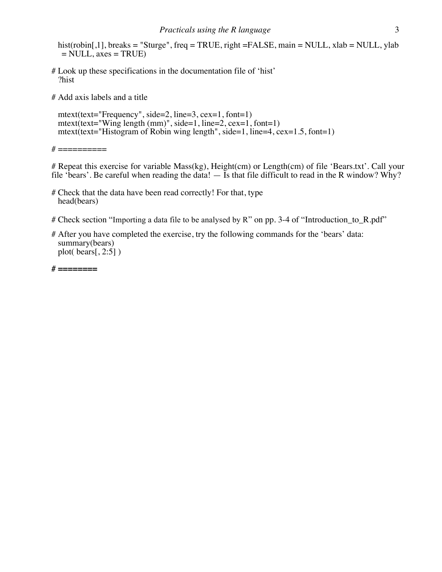hist(robin[,1], breaks = "Sturge", freq = TRUE, right =FALSE, main = NULL, xlab = NULL, ylab  $=$  NULL, axes  $=$  TRUE)

# Look up these specifications in the documentation file of 'hist' ?hist

# Add axis labels and a title

 mtext(text="Frequency", side=2, line=3, cex=1, font=1) mtext(text="Wing length (mm)", side=1, line=2, cex=1, font=1) mtext(text="Histogram of Robin wing length", side=1, line=4, cex=1.5, font=1)

 $# = = = = = = = = =$ 

# Repeat this exercise for variable Mass(kg), Height(cm) or Length(cm) of file 'Bears.txt'. Call your file 'bears'. Be careful when reading the data!  $-$  Is that file difficult to read in the R window? Why?

- # Check that the data have been read correctly! For that, type head(bears)
- # Check section "Importing a data file to be analysed by R" on pp. 3-4 of "Introduction\_to\_R.pdf"
- # After you have completed the exercise, try the following commands for the 'bears' data: summary(bears) plot( bears[, 2:5] )

**# ========**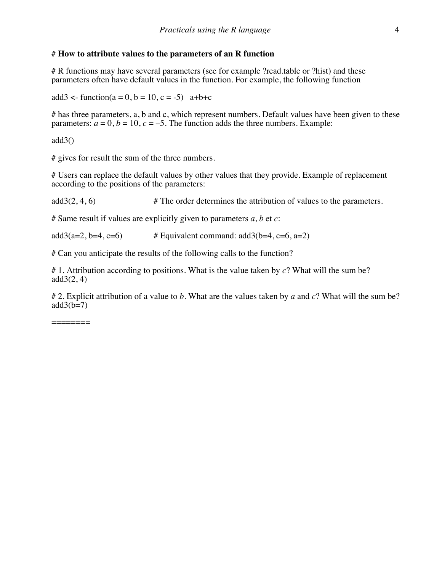# # **How to attribute values to the parameters of an R function**

# R functions may have several parameters (see for example ?read.table or ?hist) and these parameters often have default values in the function. For example, the following function

 $add3 < -$  function( $a = 0, b = 10, c = -5$ )  $a+b+c$ 

# has three parameters, a, b and c, which represent numbers. Default values have been given to these parameters:  $a = 0$ ,  $b = 10$ ,  $c = -5$ . The function adds the three numbers. Example:

 $add3()$ 

# gives for result the sum of the three numbers.

# Users can replace the default values by other values that they provide. Example of replacement according to the positions of the parameters:

 $add3(2, 4, 6)$  # The order determines the attribution of values to the parameters.

# Same result if values are explicitly given to parameters *a*, *b* et *c*:

add3(a=2, b=4, c=6)  $\#$  Equivalent command: add3(b=4, c=6, a=2)

# Can you anticipate the results of the following calls to the function?

# 1. Attribution according to positions. What is the value taken by *c*? What will the sum be?  $add3(2, 4)$ 

# 2. Explicit attribution of a value to *b*. What are the values taken by *a* and *c*? What will the sum be?  $add3(b=7)$ 

========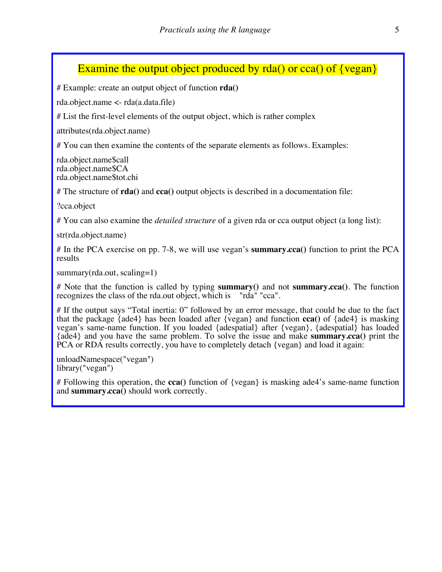# Examine the output object produced by  $rda()$  or cca $()$  of  $\{vegan\}$

# Example: create an output object of function **rda()**

rda.object.name <- rda(a.data.file)

# List the first-level elements of the output object, which is rather complex

attributes(rda.object.name)

# You can then examine the contents of the separate elements as follows. Examples:

rda.object.name\$call rda.object.name\$CA rda.object.name\$tot.chi

# The structure of **rda()** and **cca()** output objects is described in a documentation file:

?cca.object

# You can also examine the *detailed structure* of a given rda or cca output object (a long list):

str(rda.object.name)

# In the PCA exercise on pp. 7-8, we will use vegan's **summary.cca()** function to print the PCA results

summary(rda.out, scaling=1)

# Note that the function is called by typing **summary()** and not **summary.cca()**. The function recognizes the class of the rda.out object, which is "rda" "cca".

# If the output says "Total inertia: 0" followed by an error message, that could be due to the fact that the package {ade4} has been loaded after {vegan} and function **cca()** of {ade4} is masking vegan's same-name function. If you loaded {adespatial} after {vegan}, {adespatial} has loaded {ade4} and you have the same problem. To solve the issue and make **summary.cca()** print the PCA or RDA results correctly, you have to completely detach {vegan} and load it again:

unloadNamespace("vegan") library("vegan")

# Following this operation, the **cca()** function of {vegan} is masking ade4's same-name function and **summary.cca()** should work correctly.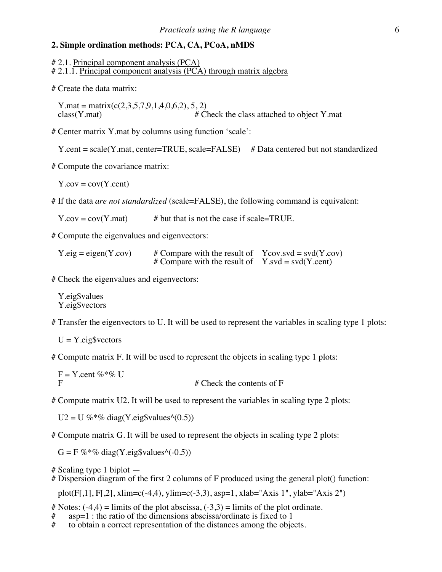#### **2. Simple ordination methods: PCA, CA, PCoA, nMDS**

# 2.1. Principal component analysis (PCA) # 2.1.1. Principal component analysis (PCA) through matrix algebra

# Create the data matrix:

Y.mat = matrix(c(2,3,5,7,9,1,4,0,6,2), 5, 2)<br>class(Y.mat) # C  $#$  Check the class attached to object Y.mat

# Center matrix Y.mat by columns using function 'scale':

Y.cent = scale(Y.mat, center=TRUE, scale=FALSE) # Data centered but not standardized

# Compute the covariance matrix:

 $Y.cov = cov(Y.cent)$ 

# If the data *are not standardized* (scale=FALSE), the following command is equivalent:

 $Y.cov = cov(Y.mat)$  # but that is not the case if scale=TRUE.

# Compute the eigenvalues and eigenvectors:

 $Y.eig = eigen(Y.cov)$  # Compare with the result of Ycov.svd = svd(Y.cov) # Compare with the result of  $Y$ .svd = svd(Y.cent)

# Check the eigenvalues and eigenvectors:

 Y.eig\$values Y.eig\$vectors

# Transfer the eigenvectors to U. It will be used to represent the variables in scaling type 1 plots:

 $U = Y.eig$vectors$ 

# Compute matrix F. It will be used to represent the objects in scaling type 1 plots:

 $F = Y$ .cent %\*% U  $#$  Check the contents of F

# Compute matrix U2. It will be used to represent the variables in scaling type 2 plots:

 $U2 = U \%$ \*% diag(Y.eig\$values^(0.5))

# Compute matrix G. It will be used to represent the objects in scaling type 2 plots:

 $G = F \%^* \%$  diag(Y.eig\$values^(-0.5))

# Scaling type 1 biplot —  $\#$  Dispersion diagram of the first 2 columns of F produced using the general plot() function:

plot(F[,1], F[,2], xlim=c(-4,4), ylim=c(-3,3), asp=1, xlab="Axis 1", ylab="Axis 2")

# Notes:  $(-4,4)$  = limits of the plot abscissa,  $(-3,3)$  = limits of the plot ordinate.

- $#$  asp=1 : the ratio of the dimensions abscissa/ordinate is fixed to 1<br> $#$  to obtain a correct representation of the distances among the obje
- to obtain a correct representation of the distances among the objects.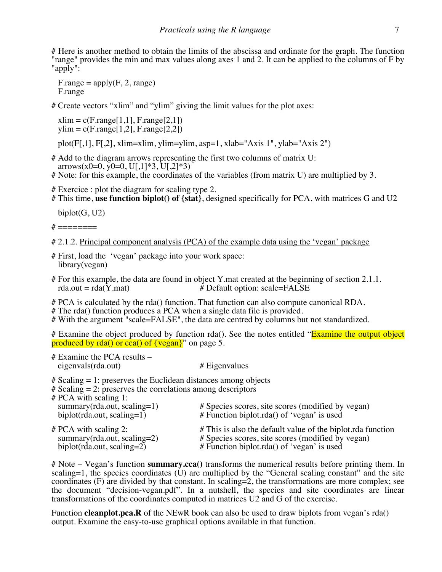# Here is another method to obtain the limits of the abscissa and ordinate for the graph. The function "range" provides the min and max values along axes 1 and 2. It can be applied to the columns of F by "apply":

 $F\text{.range} = apply(F, 2, range)$ F.range

# Create vectors "xlim" and "ylim" giving the limit values for the plot axes:

 $xlim = c(F.random[1,1], F.random[2,1])$  $vlim = c(F.random[1,2], F.random[2,2])$ 

plot(F[,1], F[,2], xlim=xlim, ylim=ylim, asp=1, xlab="Axis 1", ylab="Axis 2")

# Add to the diagram arrows representing the first two columns of matrix U: arrows(x0=0, y0=0, U[,1]\*3, U[,2]\*3)

# Note: for this example, the coordinates of the variables (from matrix U) are multiplied by 3.

# Exercice : plot the diagram for scaling type 2.

# This time, **use function biplot() of {stat}**, designed specifically for PCA, with matrices G and U2

 $biplot(G, U2)$ 

 $#$  =========

```
# 2.1.2. Principal component analysis (PCA) of the example data using the 'vegan' package
```
- # First, load the 'vegan' package into your work space: library(vegan)
- # For this example, the data are found in object Y mat created at the beginning of section 2.1.1.<br>rda.out = rda(Y mat) <br># Default option: scale=FALSE # Default option: scale=FALSE

# PCA is calculated by the rda() function. That function can also compute canonical RDA.

- # The rda() function produces a PCA when a single data file is provided.
- # With the argument "scale=FALSE", the data are centred by columns but not standardized.

# Examine the object produced by function rda(). See the notes entitled "Examine the output object produced by rda() or cca() of  $\{vegan\}$  on page 5.

# Examine the PCA results – eigenvals(rda.out) # Eigenvalues

 $#$  Scaling  $= 1$ : preserves the Euclidean distances among objects

# Scaling = 2: preserves the correlations among descriptors

| $# PCA$ with scaling 1:<br>$summary(rda.out, scaling=1)$<br>$biplot(rda.out, scaling=1)$ | # Species scores, site scores (modified by vegan)<br>$#$ Function biplot.rda() of 'vegan' is used |
|------------------------------------------------------------------------------------------|---------------------------------------------------------------------------------------------------|
| $# PCA$ with scaling 2:                                                                  | # This is also the default value of the biplot rda function                                       |
| $summary(rda.out, scaling=2)$                                                            | # Species scores, site scores (modified by vegan)                                                 |
| $biplot(rda.out, scaling=2)$                                                             | # Function biplot.rda() of 'vegan' is used                                                        |

# Note – Vegan's function **summary.cca()** transforms the numerical results before printing them. In scaling=1, the species coordinates  $(U)$  are multiplied by the "General scaling constant" and the site coordinates (F) are divided by that constant. In scaling=2, the transformations are more complex; see the document "decision-vegan.pdf". In a nutshell, the species and site coordinates are linear transformations of the coordinates computed in matrices U2 and G of the exercise.

Function **cleanplot.pca.R** of the NEwR book can also be used to draw biplots from vegan's rda() output. Examine the easy-to-use graphical options available in that function.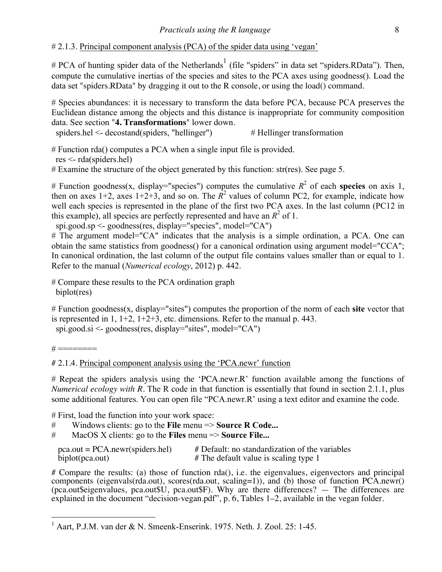# # 2.1.3. Principal component analysis (PCA) of the spider data using 'vegan'

# PCA of hunting spider data of the Netherlands<sup>1</sup> (file "spiders" in data set "spiders.RData"). Then, compute the cumulative inertias of the species and sites to the PCA axes using goodness(). Load the data set "spiders.RData" by dragging it out to the R console, or using the load() command.

# Species abundances: it is necessary to transform the data before PCA, because PCA preserves the Euclidean distance among the objects and this distance is inappropriate for community composition data. See section "**4. Transformations**" lower down.

spiders.hel  $\leq$  decostand(spiders, "hellinger")  $\qquad$  # Hellinger transformation

# Function rda() computes a PCA when a single input file is provided.

res <- rda(spiders.hel)

# Examine the structure of the object generated by this function: str(res). See page 5.

# Function goodness(x, display="species") computes the cumulative  $R^2$  of each **species** on axis 1, then on axes  $1+2$ , axes  $1+2+3$ , and so on. The  $\mathbb{R}^2$  values of column PC2, for example, indicate how well each species is represented in the plane of the first two PCA axes. In the last column (PC12 in this example), all species are perfectly represented and have an  $R^2$  of 1.

spi.good.sp <- goodness(res, display="species", model="CA")

# The argument model="CA" indicates that the analysis is a simple ordination, a PCA. One can obtain the same statistics from goodness() for a canonical ordination using argument model="CCA"; In canonical ordination, the last column of the output file contains values smaller than or equal to 1. Refer to the manual (*Numerical ecology*, 2012) p. 442.

# Compare these results to the PCA ordination graph biplot(res)

# Function goodness(x, display="sites") computes the proportion of the norm of each **site** vector that is represented in 1,  $1+2$ ,  $1+2+3$ , etc. dimensions. Refer to the manual p. 443. spi.good.si <- goodness(res, display="sites", model="CA")

 $# == == == ==$ 

# 2.1.4. Principal component analysis using the 'PCA.newr' function

# Repeat the spiders analysis using the 'PCA.newr.R' function available among the functions of *Numerical ecology with R*. The R code in that function is essentially that found in section 2.1.1, plus some additional features. You can open file "PCA.newr.R' using a text editor and examine the code.

# First, load the function into your work space:

# Windows clients: go to the **File** menu => **Source R Code...**

# MacOS X clients: go to the **Files** menu => **Source File...**

| $pca.out = PCA.new (spiders.hel)$ | # Default: no standardization of the variables |
|-----------------------------------|------------------------------------------------|
| biplot(pca.out)                   | # The default value is scaling type 1          |

# Compare the results: (a) those of function rda(), i.e. the eigenvalues, eigenvectors and principal components (eigenvals(rda.out), scores(rda.out, scaling=1)), and (b) those of function PCA.newr()  $(pca. outSeigenvalues, pca. out $U, pca. out $F)$ . Why are there differences?  $-$  The differences are explained in the document "decision-vegan.pdf", p. 6, Tables 1–2, available in the vegan folder.

 $1$  Aart, P.J.M. van der & N. Smeenk-Enserink. 1975. Neth. J. Zool. 25: 1-45.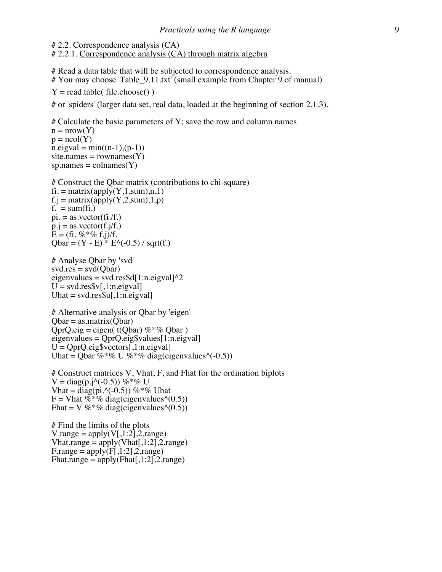# 2.2. Correspondence analysis (CA) # 2.2.1. Correspondence analysis (CA) through matrix algebra

# Read a data table that will be subjected to correspondence analysis. # You may choose 'Table\_9.11.txt' (small example from Chapter 9 of manual)

 $Y = read.title (file.close())$ 

# or 'spiders' (larger data set, real data, loaded at the beginning of section 2.1.3).

 $#$  Calculate the basic parameters of Y; save the row and column names  $n = nrow(Y)$  $p = ncol(Y)$  $n.eigval = min((n-1),(p-1))$  $site{\space}names = rownames(Y)$  $sp.$  names = colnames(Y)

# Construct the Qbar matrix (contributions to chi-square)  $fi = matrix(apply(Y,1,sum),n,1)$  $f.j = matrix(apply(Y,2,sum),1,p)$  $f<sub>r</sub> = sum(f<sub>i</sub>)$  $pi =$  as.vector(fi./f.)  $\bar{p}$ . $\bar{p}$  = as.vector(f. $\bar{j}$ /f.)  $E = (fi. %*% f.)/f.$  $Qbar = (Y - E) * E^(-0.5) / sqrt(f.)$ 

# Analyse Qbar by 'svd'  $svd.res = svd(Qbar)$ eigenvalues = svd.res\$d $[1:n.eigval]$ <sup>^2</sup>  $U = svd,res\$  [, 1:n.eigval] Uhat  $=$  svd.res\$u[,1:n.eigval]

# Alternative analysis or Qbar by 'eigen'  $Qbar =$  as matrix $(Qbar)$ QprQ.eig = eigen( $t$ (Qbar) %\*% Obar) eigenvalues = QprQ.eig\$values[1:n.eigval]  $U = QprQ.eig$vectors[, 1:n.eigval]$ Uhat = Qbar %  $\%$  U % % diag(eigenvalues^(-0.5))

# Construct matrices V, Vhat, F, and Fhat for the ordination biplots  $V = diag(p.j \land (-0.5))$  %\*% U Vhat = diag(pi.^(-0.5)) %\*% Uhat  $F = \text{Vhat } \% \frac{1}{\sqrt{6}}$  diag(eigenvalues^(0.5)) Fhat = V %<sup>\*</sup>% diag(eigenvalues^(0.5))

# Find the limits of the plots V.range =  $\text{apply}(V[,1:2],2,\text{range})$ Vhat.range = apply(Vhat[, $1:2$ ], $2$ ,range)  $F\text{.range} = \text{apply}(\overline{F}[\,1:2]\,\text{.2}$ , range) Fhat.range =  $\text{apply}(\text{Flat}[1:2], 2, \text{range})$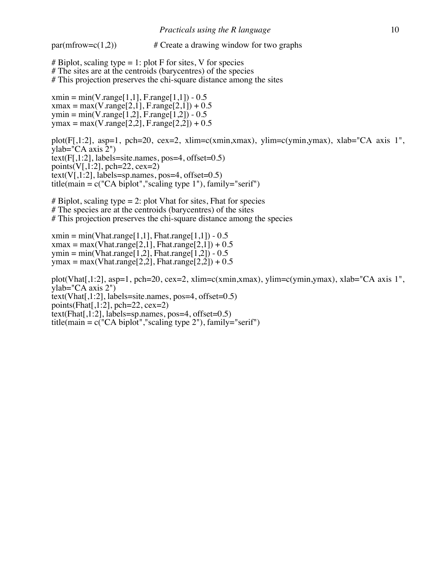$par(mfrow=c(1,2))$  # Create a drawing window for two graphs

# Biplot, scaling type  $= 1$ : plot F for sites, V for species # The sites are at the centroids (barycentres) of the species # This projection preserves the chi-square distance among the sites

 $xmin = min(V.random[1,1], France[1,1]) - 0.5$  $xmax = max(V.random[2,1], F.random[2,1]) + 0.5$  $ymin = min(V.random[1,2], F.random[1,2]) - 0.5$  $y$ max = max(V.range[2,2], F.range[2,2]) + 0.5

plot(F[,1:2], asp=1, pch=20, cex=2, xlim=c(xmin,xmax), ylim=c(ymin,ymax), xlab="CA axis 1", ylab="CA axis 2")  $text(F[,1:2], labels = site.name, pos = 4, offset = 0.5)$ points(V[,1:2], pch=22, cex=2)  $text(V[,1:2], labels=sp.name, pos=4, offset=0.5)$ title(main =  $c("CA~biplot", "scaling type 1"), family="serif")$ 

# Biplot, scaling type  $= 2$ : plot Vhat for sites, Fhat for species # The species are at the centroids (barycentres) of the sites # This projection preserves the chi-square distance among the species

 $xmin = min(Vhat_range[1,1], Fhat_range[1,1]) - 0.5$  $x$ max = max(Vhat.range[2,1], Fhat.range[2,1]) + 0.5 ymin = min(Vhat.range[1,2], Fhat.range[1,2]) -  $0.5$ ymax = max(Vhat.range[2,2], Fhat.range[2,2]) +  $0.5$ plot(Vhat[,1:2], asp=1, pch=20, cex=2, xlim=c(xmin,xmax), ylim=c(ymin,ymax), xlab="CA axis 1", ylab="CA axis 2")  $text(Vhat[, 1:2], labels = site.name, pos = 4, offset = 0.5)$ points(Fhat[, $1:2$ ], pch=22, cex=2)

 $text(Fhat[, 1:2], labels = sp.name, pos = 4, offset = 0.5)$ 

title(main =  $c("CA~biplot", "scaling type 2"), family="serif")$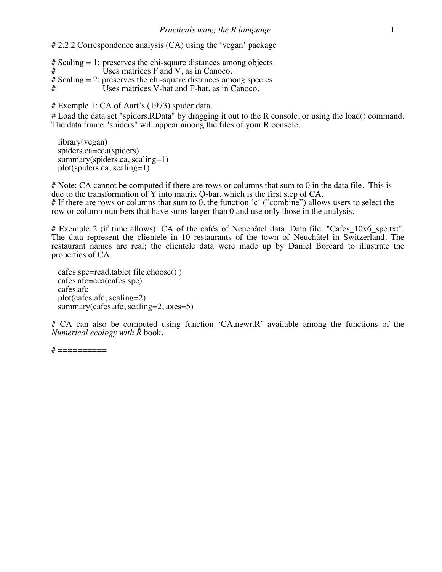# 2.2.2 Correspondence analysis (CA) using the 'vegan' package

 $#$  Scaling = 1: preserves the chi-square distances among objects.<br> $#$  Uses matrices F and V as in Canoco. Uses matrices  $F$  and  $V$ , as in Canoco.  $#$  Scaling  $= 2$ : preserves the chi-square distances among species. Uses matrices V-hat and F-hat, as in Canoco.

# Exemple 1: CA of Aart's (1973) spider data.

# Load the data set "spiders.RData" by dragging it out to the R console, or using the load() command. The data frame "spiders" will appear among the files of your R console.

 library(vegan) spiders.ca=cca(spiders) summary(spiders.ca, scaling=1) plot(spiders.ca, scaling=1)

# Note: CA cannot be computed if there are rows or columns that sum to 0 in the data file. This is due to the transformation of Y into matrix Q-bar, which is the first step of CA. # If there are rows or columns that sum to 0, the function 'c' ("combine") allows users to select the row or column numbers that have sums larger than 0 and use only those in the analysis.

# Exemple 2 (if time allows): CA of the cafés of Neuchâtel data. Data file: "Cafes\_10x6 spe.txt". The data represent the clientele in 10 restaurants of the town of Neuchâtel in Switzerland. The restaurant names are real; the clientele data were made up by Daniel Borcard to illustrate the properties of CA.

 cafes.spe=read.table( file.choose() ) cafes.afc=cca(cafes.spe) cafes.afc plot(cafes.afc, scaling=2) summary(cafes.afc, scaling=2, axes=5)

# CA can also be computed using function 'CA.newr.R' available among the functions of the *Numerical ecology with R* book.

 $\#$  ===========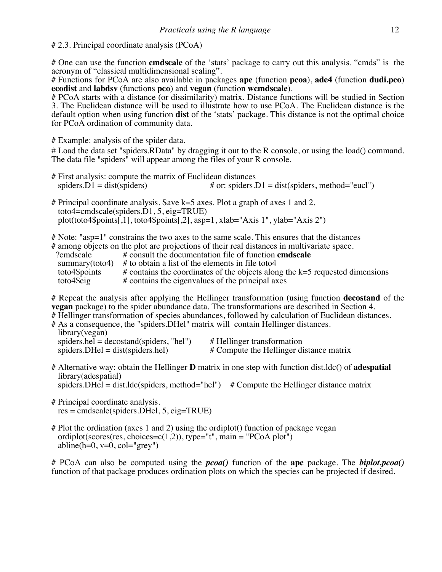#### # 2.3. Principal coordinate analysis (PCoA)

# One can use the function **cmdscale** of the 'stats' package to carry out this analysis. "cmds" is the acronym of "classical multidimensional scaling".

# Functions for PCoA are also available in packages **ape** (function **pcoa**), **ade4** (function **dudi.pco**) **ecodist** and **labdsv** (functions **pco**) and **vegan** (function **wcmdscale**).

# PCoA starts with a distance (or dissimilarity) matrix. Distance functions will be studied in Section 3. The Euclidean distance will be used to illustrate how to use PCoA. The Euclidean distance is the default option when using function **dist** of the 'stats' package. This distance is not the optimal choice for PCoA ordination of community data.

# Example: analysis of the spider data.

# Load the data set "spiders.RData" by dragging it out to the R console, or using the load() command. The data file "spiders" will appear among the files of your R console.

- # First analysis: compute the matrix of Euclidean distances spiders.  $D1 = dist(spiders)$  # or: spiders. # or: spiders.D1 = dist(spiders, method="eucl")
- # Principal coordinate analysis. Save k=5 axes. Plot a graph of axes 1 and 2. toto4=cmdscale(spiders.D1, 5, eig=TRUE) plot(toto4\$points[,1], toto4\$points[,2], asp=1, xlab="Axis 1", ylab="Axis 2")

# Note: "asp=1" constrains the two axes to the same scale. This ensures that the distances

|  |  |  |  |  |  |  |  |  |  |  |  | # among objects on the plot are projections of their real distances in multivariate space. |  |
|--|--|--|--|--|--|--|--|--|--|--|--|--------------------------------------------------------------------------------------------|--|
|--|--|--|--|--|--|--|--|--|--|--|--|--------------------------------------------------------------------------------------------|--|

|                | # among objects on the plot are projections of their real distances in multivariate space. |
|----------------|--------------------------------------------------------------------------------------------|
| ?cmdscale      | # consult the documentation file of function <b>cmdscale</b>                               |
| summary(toto4) | # to obtain a list of the elements in file toto4                                           |
| toto4\$points  | $\#$ contains the coordinates of the objects along the k=5 requested dimensions            |
| toto4\$eig     | # contains the eigenvalues of the principal axes                                           |

# Repeat the analysis after applying the Hellinger transformation (using function **decostand** of the **vegan** package) to the spider abundance data. The transformations are described in Section 4.

# Hellinger transformation of species abundances, followed by calculation of Euclidean distances.

| # As a consequence, the "spiders. DHel" matrix will contain Hellinger distances. |                            |
|----------------------------------------------------------------------------------|----------------------------|
| library(vegan)                                                                   |                            |
| spiders.hel = $decostand(spiders, "hel")$                                        | # Hellinger transformation |

spiders. DHel = dist(spiders.hel)  $\#$  Compute the Hellinger distance matrix

# Alternative way: obtain the Hellinger **D** matrix in one step with function dist.ldc() of **adespatial** library(adespatial)

spiders. DHel = dist.ldc(spiders, method="hel")  $#$  Compute the Hellinger distance matrix

- # Principal coordinate analysis. res = cmdscale(spiders.DHel, 5, eig=TRUE)
- # Plot the ordination (axes 1 and 2) using the ordiplot() function of package vegan ordiplot(scores(res, choices=c(1,2)), type="t", main = "PCoA plot") abline(h=0,  $v=0$ ,  $col="grey"$ )

# PCoA can also be computed using the *pcoa()* function of the **ape** package. The *biplot.pcoa()* function of that package produces ordination plots on which the species can be projected if desired.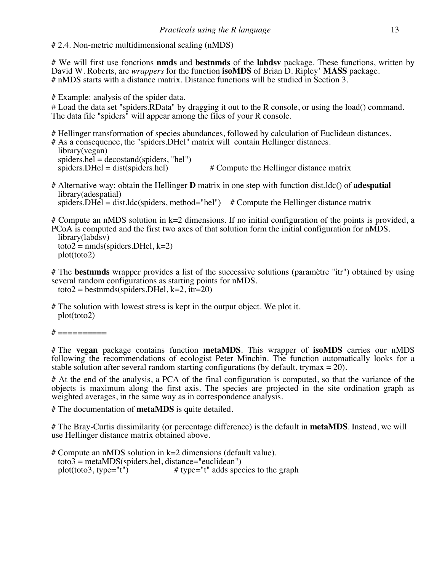# # 2.4. Non-metric multidimensional scaling (nMDS)

# We will first use fonctions **nmds** and **bestnmds** of the **labdsv** package. These functions, written by David W. Roberts, are *wrappers* for the function **isoMDS** of Brian D. Ripley' **MASS** package. # nMDS starts with a distance matrix. Distance functions will be studied in Section 3.

# Example: analysis of the spider data.

# Load the data set "spiders.RData" by dragging it out to the R console, or using the load() command. The data file "spiders" will appear among the files of your R console.

# Hellinger transformation of species abundances, followed by calculation of Euclidean distances.

# As a consequence, the "spiders.DHel" matrix will contain Hellinger distances. library(vegan)  $spiders.hel = decostand(spiders, "hel")$ <br>spiders.DHel = dist(spiders.hel)  $#$  Compute the Hellinger distance matrix

# Alternative way: obtain the Hellinger **D** matrix in one step with function dist.ldc() of **adespatial** library(adespatial) spiders. DHel = dist.ldc(spiders, method="hel")  $#$  Compute the Hellinger distance matrix

# Compute an nMDS solution in k=2 dimensions. If no initial configuration of the points is provided, a PCoA is computed and the first two axes of that solution form the initial configuration for nMDS. library(labdsv)  $\text{toto2} = \text{nmds}(\text{spiders.DHel}, k=2)$ <br>plot(toto2)

# The **bestnmds** wrapper provides a list of the successive solutions (paramètre "itr") obtained by using several random configurations as starting points for nMDS. toto2 = bestnmds(spiders. DHel,  $k=2$ , itr=20)

# The solution with lowest stress is kept in the output object. We plot it. plot(toto2)

 $\#$  ===========

# The **vegan** package contains function **metaMDS**. This wrapper of **isoMDS** carries our nMDS following the recommendations of ecologist Peter Minchin. The function automatically looks for a stable solution after several random starting configurations (by default, trymax  $= 20$ ).

# At the end of the analysis, a PCA of the final configuration is computed, so that the variance of the objects is maximum along the first axis. The species are projected in the site ordination graph as weighted averages, in the same way as in correspondence analysis.

# The documentation of **metaMDS** is quite detailed.

# The Bray-Curtis dissimilarity (or percentage difference) is the default in **metaMDS**. Instead, we will use Hellinger distance matrix obtained above.

# Compute an nMDS solution in k=2 dimensions (default value). toto3 = metaMDS(spiders.hel, distance="euclidean")<br>plot(toto3, type="t") # type="t" adds spee # type="t" adds species to the graph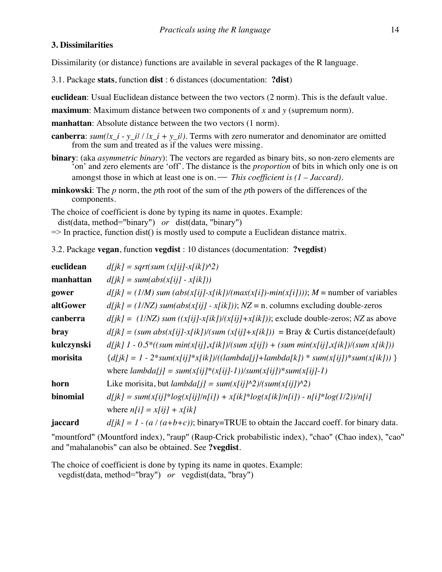#### **3. Dissimilarities**

Dissimilarity (or distance) functions are available in several packages of the R language.

- 3.1. Package **stats**, function **dist** : 6 distances (documentation: **?dist**)
- **euclidean**: Usual Euclidean distance between the two vectors (2 norm). This is the default value.
- **maximum**: Maximum distance between two components of *x* and *y* (supremum norm).

**manhattan**: Absolute distance between the two vectors (1 norm).

- **canberra**: *sum(|x\_i y\_i| / |x\_i + y\_i|)*. Terms with zero numerator and denominator are omitted from the sum and treated as if the values were missing.
- **binary**: (aka *asymmetric binary*): The vectors are regarded as binary bits, so non-zero elements are 'on' and zero elements are 'off'. The distance is the *proportion* of bits in which only one is on amongst those in which at least one is on. — *This coefficient is (1 – Jaccard)*.
- **minkowski**: The *p* norm, the *p*th root of the sum of the *p*th powers of the differences of the components.

The choice of coefficient is done by typing its name in quotes. Example: dist(data, method="binary") *or* dist(data, "binary")

 $\Rightarrow$  In practice, function dist() is mostly used to compute a Euclidean distance matrix.

3.2. Package **vegan**, function **vegdist** : 10 distances (documentation: **?vegdist**)

| euclidean  | $d[ik] = sqrt(sum(x[i]-x[i],\)^2)$                                                                   |
|------------|------------------------------------------------------------------------------------------------------|
| manhattan  | $d[ik] = sum(abs(x[i]) - x[ik]))$                                                                    |
| gower      | $d[ik] = (1/M)$ sum $(abs(x[ij] - x[ik])/(max(x[i]) - min(x[i]))); M =$ number of variables          |
| altGower   | $d[jk] = (1/NZ) sum(abs(x[ij] - x[ik]))$ ; $NZ = n$ . columns excluding double-zeros                 |
| canberra   | $d[ik] = (1/NZ)$ sum $((x[i] \cdot x[ik])/(x[i] \cdot x[ik]))$ ; exclude double-zeros; NZ as above   |
| bray       | $d[i k] = (sum abs(x[i] - x[ik])/(sum (x[i] + x[ik])) =$ Bray & Curtis distance(default)             |
| kulczynski | $d[ik]$ 1 - 0.5 <sup>*</sup> ((sum min(x[ij],x[ik])/(sum x[ij]) + (sum min(x[ij],x[ik])/(sum x[ik])) |
| morisita   | ${d(jk) = 1 - 2*sum(x[ij]*x[ik])}/((lambda[j]+lambda[k]))*sum(x[ij))*sum(x[ik]))}$                   |
|            | where $lambda[i] = sum(x[i][*(x[i]-1))/sum(x[i]) * sum(x[i]-1))$                                     |
| horn       | Like morisita, but <i>lambda[j]</i> = $sum(x[i]/^2)/(sum(x[i]/^2)$                                   |
| binomial   | $d[ik] = sum(x[i]i^*log(x[ij]/n[i]) + x[ik]^*log(x[ik]/n[i]) - n[i]^*log(1/2))/n[i]$                 |
|            | where $n[i] = x[i] + x[i]$                                                                           |
| jaccard    | $d[ik] = 1 - (a/(a+b+c))$ ; binary=TRUE to obtain the Jaccard coeff. for binary data.                |

"mountford" (Mountford index), "raup" (Raup-Crick probabilistic index), "chao" (Chao index), "cao" and "mahalanobis" can also be obtained. See **?vegdist**.

The choice of coefficient is done by typing its name in quotes. Example:

vegdist(data, method="bray") *or* vegdist(data, "bray")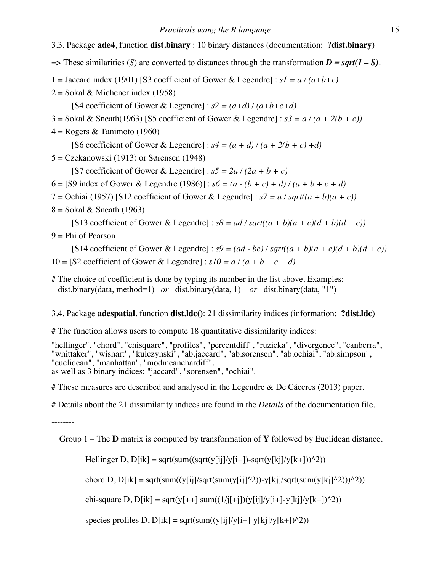# 3.3. Package **ade4**, function **dist.binary** : 10 binary distances (documentation: **?dist.binary**)

- $\Rightarrow$  These similarities (*S*) are converted to distances through the transformation *D* = *sqrt(1 S*).
- 1 = Jaccard index (1901) [S3 coefficient of Gower & Legendre] :  $sI = a/(a+b+c)$
- $2 =$  Sokal & Michener index (1958)

[S4 coefficient of Gower & Legendre] :  $s2 = (a+d)/(a+b+c+d)$ 

- $3 =$  Sokal & Sneath(1963) [S5 coefficient of Gower & Legendre] :  $s3 = a/(a + 2(b + c))$
- $4 = \text{Rogers} \& \text{Tanimoto} (1960)$

[S6 coefficient of Gower & Legendre] :  $s4 = (a + d)/(a + 2(b + c) + d)$ 

5 = Czekanowski (1913) or Sørensen (1948)

[S7 coefficient of Gower & Legendre] :  $s5 = 2a/(2a + b + c)$ 

- 6 = [S9 index of Gower & Legendre (1986)] :  $s6 = (a (b + c) + d)/(a + b + c + d)$
- 7 = Ochiai (1957) [S12 coefficient of Gower & Legendre] :  $s7 = a / sqrt((a + b)(a + c))$
- $8 =$  Sokal & Sneath (1963)

[S13 coefficient of Gower & Legendre] :  $s8 = ad /sqrt((a + b)(a + c)(d + b)(d + c))$  $9 =$ Phi of Pearson

[S14 coefficient of Gower & Legendre] :  $s9 = (ad - bc) / sqrt((a + b)(a + c)(d + b)(d + c))$ 10 = [S2 coefficient of Gower & Legendre] :  $s/0 = a/(a + b + c + d)$ 

# The choice of coefficient is done by typing its number in the list above. Examples: dist.binary(data, method=1) *or* dist.binary(data, 1) *or* dist.binary(data, "1")

3.4. Package **adespatial**, function **dist.ldc()**: 21 dissimilarity indices (information: **?dist.ldc**)

# The function allows users to compute 18 quantitative dissimilarity indices:

"hellinger", "chord", "chisquare", "profiles", "percentdiff", "ruzicka", "divergence", "canberra", "whittaker", "wishart", "kulczynski", "ab.jaccard", "ab.sorensen", "ab.ochiai", "ab.simpson", "euclidean", "manhattan", "modmeanchardiff", as well as 3 binary indices: "jaccard", "sorensen", "ochiai".

# These measures are described and analysed in the Legendre  $\&$  De Cáceres (2013) paper.

# Details about the 21 dissimilarity indices are found in the *Details* of the documentation file.

--------

Group 1 – The **D** matrix is computed by transformation of **Y** followed by Euclidean distance.

Hellinger D,  $D[ik]$  = sqrt(sum((sqrt(y[ij]/y[i+])-sqrt(y[kj]/y[k+]) $\land$ 2))

chord D,  $D[ik]$  = sqrt(sum((y[ij]/sqrt(sum(y[ij]^2))-y[kj]/sqrt(sum(y[kj]^2)))^2))

chi-square D, D[ik] = sqrt(y[++] sum((1/j[+j])(y[ij]/y[i+]-y[kj]/y[k+])^2))

species profiles D,  $D[ik] = sqrt(sum((y[ij]/y[i+] - y[kj]/y[k+])^2))$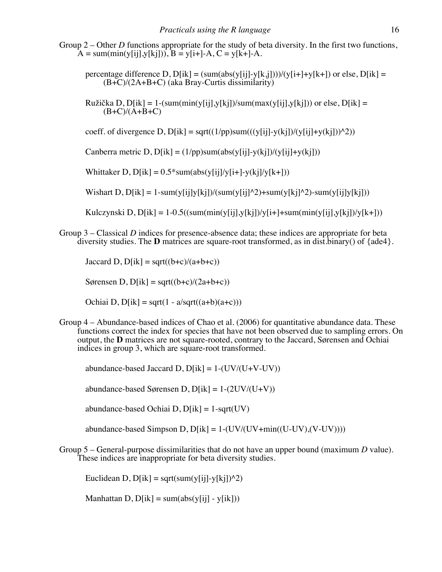Group 2 – Other *D* functions appropriate for the study of beta diversity. In the first two functions,  $A = sum(min(y[i], y[k],))$ ,  $B = y[i+]-A$ ,  $C = y[k+]-A$ .

percentage difference D,  $D[ik] = (sum(abs(y[ij]-y[k,j])))/(y[i+]+y[k+])$  or else,  $D[ik] =$ (B+C)/(2A+B+C) (aka Bray-Curtis dissimilarity)

Ružička D, D[ik] = 1-(sum(min(y[ij],y[kj])/sum(max(y[ij],y[kj])) or else, D[ik] =  $(B+C)/(A+B+C)$ 

coeff. of divergence D,  $D[ik] = sqrt((1/pp)sum(((y[i] - y(kj))/(y[i] + y(kj]))^2))$ 

Canberra metric D,  $D[ik] = (1/pp)sum(abs(y[i]-y(kj))/(y[i]+y(kj]))$ 

Whittaker D,  $D[ik] = 0.5*sum(abs(y[i]/y[i+]-y(kj]/y[k+]))$ 

Wishart D,  $D[ik] = 1$ -sum(y[ij]y[kj])/(sum(y[ij]^2)+sum(y[kj]^2)-sum(y[ij]y[kj]))

Kulczynski D, D[ik] = 1-0.5((sum(min(y[ij],y[kj])/y[i+]+sum(min(y[ij],y[kj])/y[k+]))

Group 3 – Classical *D* indices for presence-absence data; these indices are appropriate for beta diversity studies. The **D** matrices are square-root transformed, as in dist.binary() of  $\{ade4\}$ .

Jaccard D,  $D[ik] = sqrt((b+c)/(a+b+c))$ 

Sørensen D, D[ik] = sqrt( $(b+c)/(2a+b+c)$ )

Ochiai D,  $D[ik]$  = sqrt(1 - a/sqrt((a+b)(a+c)))

Group 4 – Abundance-based indices of Chao et al. (2006) for quantitative abundance data. These functions correct the index for species that have not been observed due to sampling errors. On output, the **D** matrices are not square-rooted, contrary to the Jaccard, Sørensen and Ochiai indices in group 3, which are square-root transformed.

abundance-based Jaccard D,  $D[ik] = 1-(UV/(U+V-UV))$ 

abundance-based Sørensen D,  $D[ik] = 1-(2UV/(U+V))$ 

abundance-based Ochiai D,  $D[ik] = 1$ -sqrt(UV)

abundance-based Simpson D,  $D[ik] = 1-(UV/(UV+min((U-UV), (V-UV))))$ 

Group 5 – General-purpose dissimilarities that do not have an upper bound (maximum *D* value). These indices are inappropriate for beta diversity studies.

Euclidean D,  $D[ik]$  = sqrt(sum(y[i]-y[kj])^2)

Manhattan D,  $D[ik] = sum(abs(y[i]) - y[ik])$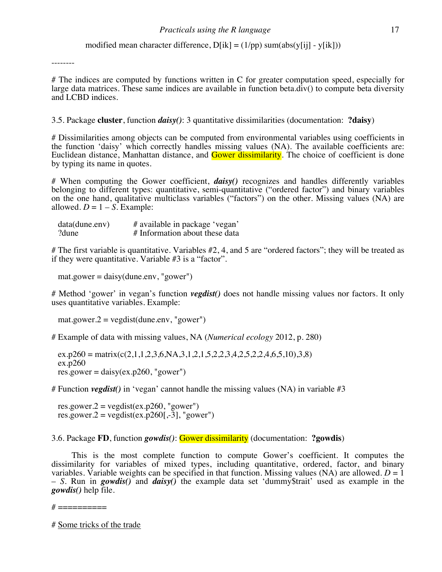modified mean character difference,  $D[ik] = (1/pp)$  sum(abs(y[ij] - y[ik]))

--------

# The indices are computed by functions written in C for greater computation speed, especially for large data matrices. These same indices are available in function beta. $div()$  to compute beta diversity and LCBD indices.

3.5. Package **cluster**, function *daisy()*: 3 quantitative dissimilarities (documentation: **?daisy**)

# Dissimilarities among objects can be computed from environmental variables using coefficients in the function 'daisy' which correctly handles missing values (NA). The available coefficients are: Euclidean distance, Manhattan distance, and **Gower dissimilarity**. The choice of coefficient is done by typing its name in quotes.

# When computing the Gower coefficient, *daisy()* recognizes and handles differently variables belonging to different types: quantitative, semi-quantitative ("ordered factor") and binary variables on the one hand, qualitative multiclass variables ("factors") on the other. Missing values (NA) are allowed.  $D = 1 - S$ . Example:

| data(dune env) | # available in package 'vegan' |
|----------------|--------------------------------|
| ?dune          | # Information about these data |

# The first variable is quantitative. Variables #2, 4, and 5 are "ordered factors"; they will be treated as if they were quantitative. Variable #3 is a "factor".

 $mat.gower = \text{daisy(dune.env, "gower")}$ 

# Method 'gower' in vegan's function *vegdist()* does not handle missing values nor factors. It only uses quantitative variables. Example:

mat.gower. $2 = \text{vegetist(dune.env, "gower")}$ 

# Example of data with missing values, NA (*Numerical ecology* 2012, p. 280)

 $ex.p260 = matrix(c(2,1,1,2,3,6,NA,3,1,2,1,5,2,2,3,4,2,5,2,2,4,6,5,10),3,8)$  $ex.p260$  $res.gower = \text{daisy}(ex.p260, "gower")$ 

# Function *vegdist()* in 'vegan' cannot handle the missing values (NA) in variable #3

res.gower. $2 = \text{vegetist}(\text{ex.p260}, \text{"gower")}$ res.gower.2 = vegdist(ex.p260[,-3], "gower")

3.6. Package **FD**, function *gowdis()*: Gower dissimilarity (documentation: **?gowdis**)

This is the most complete function to compute Gower's coefficient. It computes the dissimilarity for variables of mixed types, including quantitative, ordered, factor, and binary variables. Variable weights can be specified in that function. Missing values (NA) are allowed.  $D = 1$ – *S*. Run in *gowdis()* and *daisy()* the example data set 'dummy\$trait' used as example in the *gowdis()* help file.

 $\#$  ===========

# Some tricks of the trade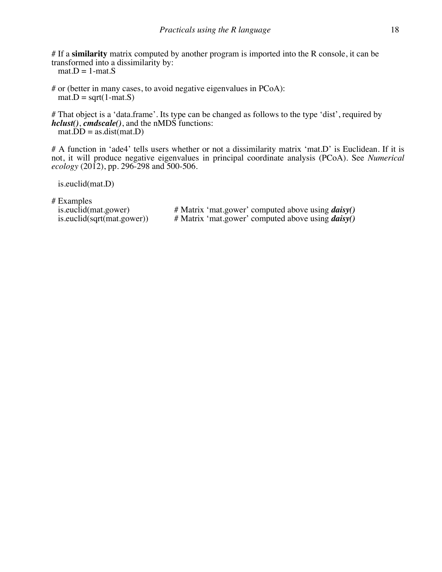# If a **similarity** matrix computed by another program is imported into the R console, it can be transformed into a dissimilarity by:

 $mat.D = 1-mat.S$ 

# or (better in many cases, to avoid negative eigenvalues in PCoA):  $mat.D = sqrt(1-mat.S)$ 

# That object is a 'data.frame'. Its type can be changed as follows to the type 'dist', required by *hclust()*, *cmdscale()*, and the nMDS functions:  $mat.DD = as.dist(mat.D)$ 

# A function in 'ade4' tells users whether or not a dissimilarity matrix 'mat.D' is Euclidean. If it is not, it will produce negative eigenvalues in principal coordinate analysis (PCoA). See *Numerical ecology* (2012), pp. 296-298 and 500-506.

is.euclid(mat.D)

# Examples<br>is euclid(mat.gower)

is.euclid(mat.gower) # Matrix 'mat.gower' computed above using *daisy()* is.euclid(sqrt(mat.gower)) # Matrix 'mat.gower' computed above using *daisy()* # Matrix 'mat.gower' computed above using *daisy()*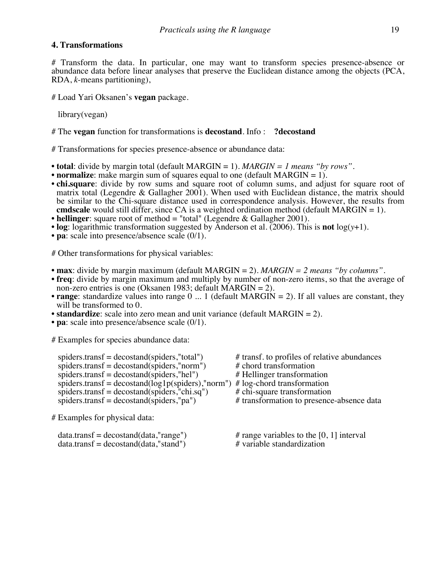# **4. Transformations**

# Transform the data. In particular, one may want to transform species presence-absence or abundance data before linear analyses that preserve the Euclidean distance among the objects (PCA, RDA, *k*-means partitioning),

# Load Yari Oksanen's **vegan** package.

library(vegan)

# The **vegan** function for transformations is **decostand**. Info : **?decostand**

# Transformations for species presence-absence or abundance data:

- **total**: divide by margin total (default MARGIN = 1). *MARGIN = 1 means "by rows".*
- **normalize**: make margin sum of squares equal to one (default MARGIN = 1).
- **chi.square**: divide by row sums and square root of column sums, and adjust for square root of matrix total (Legendre & Gallagher 2001). When used with Euclidean distance, the matrix should be similar to the Chi-square distance used in correspondence analysis. However, the results from **cmdscale** would still differ, since CA is a weighted ordination method (default MARGIN  $= 1$ ).
- **hellinger**: square root of method = "total" (Legendre & Gallagher 2001).
- **log**: logarithmic transformation suggested by Anderson et al. (2006). This is **not**  $log(y+1)$ .
- **pa**: scale into presence/absence scale (0/1).

# Other transformations for physical variables:

- **max**: divide by margin maximum (default MARGIN = 2). *MARGIN = 2 means "by columns".*
- **freq**: divide by margin maximum and multiply by number of non-zero items, so that the average of non-zero entries is one (Oksanen 1983; default MARGIN = 2).
- **range**: standardize values into range 0 ... 1 (default MARGIN = 2). If all values are constant, they will be transformed to 0.
- **standardize**: scale into zero mean and unit variance (default MARGIN = 2).
- **pa**: scale into presence/absence scale (0/1).

# Examples for species abundance data:

| $spiders. transf = decostand(spiders," total")$      | # transf. to profiles of relative abundances |
|------------------------------------------------------|----------------------------------------------|
| spiders.transf = $decost$ (spiders, "norm")          | # chord transformation                       |
| spiders.transf = $decost$ (spiders,"hel")            | # Hellinger transformation                   |
| spiders.transf = $decostand(log1p(spiders), "norm")$ | $# \log$ -chord transformation               |
| spiders.transf = $decostand(spiders,"chi.sq")$       | # chi-square transformation                  |
| spiders.transf = decostand(spiders,"pa")             | # transformation to presence-absence data    |
| # Examples for physical data:                        |                                              |

| $data.transpose = decostand(data,"range")$ | $#$ range variables to the [0, 1] interval |
|--------------------------------------------|--------------------------------------------|
| $data.transpose = decostand(data,"stand")$ | # variable standardization                 |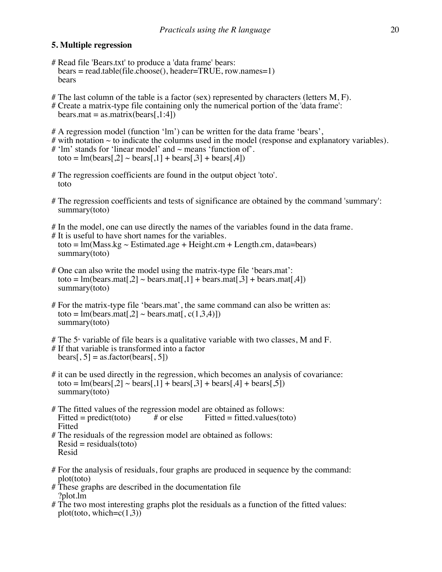# **5. Multiple regression**

- # Read file 'Bears.txt' to produce a 'data frame' bears: bears = read.table(file.choose(), header=TRUE, row.names=1) bears
- # The last column of the table is a factor (sex) represented by characters (letters  $M, F$ ).
- # Create a matrix-type file containing only the numerical portion of the 'data frame':

 $bears.math = as.mathix(bears[1:4])$ 

- # A regression model (function 'lm') can be written for the data frame 'bears',
- $\#$  with notation  $\sim$  to indicate the columns used in the model (response and explanatory variables).
- $#$  'lm' stands for 'linear model' and  $\sim$  means 'function of'. toto =  $\text{Im}(\text{bears}[.2] \sim \text{bears}[.1] + \text{bears}[.3] + \text{bears}[.4])$
- # The regression coefficients are found in the output object 'toto'. toto
- # The regression coefficients and tests of significance are obtained by the command 'summary': summary(toto)
- # In the model, one can use directly the names of the variables found in the data frame. # It is useful to have short names for the variables. toto =  $lm(Mass.kg \sim Estimated.age + Height.cm + Length.cm, data=bears)$ summary(toto)
- # One can also write the model using the matrix-type file 'bears.mat': toto =  $\text{Im}(\text{bears}.\text{mat}[,2] \sim \text{bears}.\text{mat}[,1] + \text{bears}.\text{mat}[,3] + \text{bears}.\text{mat}[,4])$ summary(toto)
- # For the matrix-type file 'bears.mat', the same command can also be written as: toto =  $\text{Im}(\text{bears}.\text{mat}[, 2] \sim \text{bears}.\text{mat}[, c(1,3,4)]$ summary(toto)
- # The  $5<sup>*</sup>$  variable of file bears is a qualitative variable with two classes, M and F.
- # If that variable is transformed into a factor  $\text{bears}[, 5] = \text{as}.\text{factor}(\text{bears}[, 5])$
- # it can be used directly in the regression, which becomes an analysis of covariance: toto = lm(bears[,2]  $\sim$  bears[,1] + bears[,3] + bears[,4] + bears[,5]) summary(toto)
- # The fitted values of the regression model are obtained as follows:<br>Fitted = predict(toto) # or else Fitted = fitted values(to Fitted = predict(toto)  $\#$  or else Fitted = fitted.values(toto) Fitted
- # The residuals of the regression model are obtained as follows:  $Resid = residuals(toto)$ Resid
- # For the analysis of residuals, four graphs are produced in sequence by the command: plot(toto)
- # These graphs are described in the documentation file ?plot.lm
- # The two most interesting graphs plot the residuals as a function of the fitted values: plot(toto, which= $c(1,3)$ )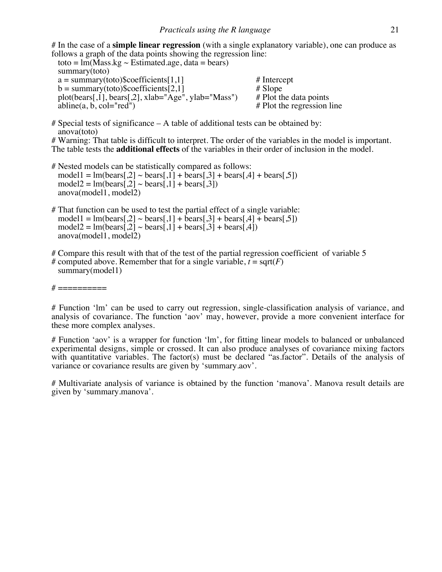# In the case of a **simple linear regression** (with a single explanatory variable), one can produce as follows a graph of the data points showing the regression line:

toto =  $\text{Im(Mass.kg} \sim \text{Estimated age}, \text{data} = \text{bears})$  summary(toto)  $a = \text{summary}(\text{toto})\text{%coefficients}[1,1]$  # Intercept<br>  $b = \text{summary}(\text{toto})\text{%coefficients}[2,1]$  # Slope b = summary(toto)\$coefficients[2,1]  $\qquad$  # Slope<br>plot(bears[,1], bears[,2], xlab="Age", ylab="Mass") # Plot the data points plot(bears[,1], bears[,2], xlab="Age", ylab="Mass")  $abline(a, b, col='red")$  $#$  Plot the regression line

 $#$  Special tests of significance  $- A$  table of additional tests can be obtained by: anova(toto)

# Warning: That table is difficult to interpret. The order of the variables in the model is important. The table tests the **additional effects** of the variables in their order of inclusion in the model.

- # Nested models can be statistically compared as follows:  $\text{model1} = \text{Im}(\text{bears}[\cdot, 2] \sim \text{bears}[\cdot, 1] + \text{bears}[\cdot, 3] + \text{bears}[\cdot, 4] + \text{bears}[\cdot, 5])$  $model2 = Im(bears[0,2] \sim bears[0,1] + bears[0,3])$ anova(model1, model2)
- # That function can be used to test the partial effect of a single variable:  $\text{model1} = \text{Im}(\text{bears}[\cdot, 2] \sim \text{bears}[\cdot, 1] + \text{bears}[\cdot, 3] + \text{bears}[\cdot, 4] + \text{bears}[\cdot, 5])$  $model2 = Im(bears[0.2] ~ bears[1] + bears[0.3] + bears[0.4])$ anova(model1, model2)
- # Compare this result with that of the test of the partial regression coefficient of variable 5 # computed above. Remember that for a single variable,  $t = \text{sqrt}(F)$ summary(model1)

 $\#$  ===========

# Function 'lm' can be used to carry out regression, single-classification analysis of variance, and analysis of covariance. The function 'aov' may, however, provide a more convenient interface for these more complex analyses.

# Function 'aov' is a wrapper for function 'lm', for fitting linear models to balanced or unbalanced experimental designs, simple or crossed. It can also produce analyses of covariance mixing factors with quantitative variables. The factor(s) must be declared "as factor". Details of the analysis of variance or covariance results are given by 'summary.aov'.

# Multivariate analysis of variance is obtained by the function 'manova'. Manova result details are given by 'summary.manova'.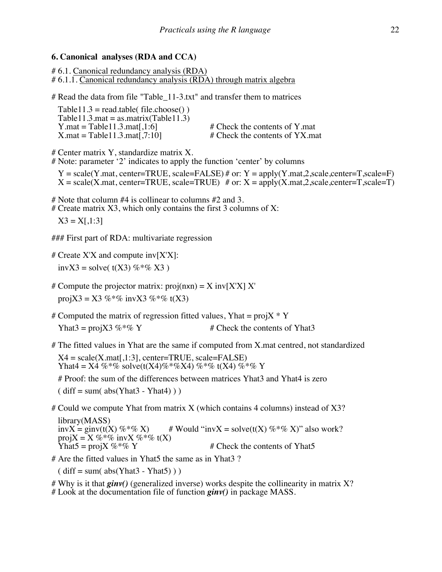# **6. Canonical analyses (RDA and CCA)**

# 6.1. Canonical redundancy analysis (RDA) # 6.1.1. Canonical redundancy analysis (RDA) through matrix algebra

# Read the data from file "Table\_11-3.txt" and transfer them to matrices

| $Table 11.3 = read_table$ (file.choose()) |  |
|-------------------------------------------|--|
| Table11.3.mat = as.matrix(Table11.3)      |  |
| Y.mat = Table $11.3$ .mat[.1:6]           |  |
| $X$ mat = Table 11.3 mat [ .7:10]         |  |

 $#$  Check the contents of Y.mat  $#$  Check the contents of YX.mat

# Center matrix Y, standardize matrix X.

# Note: parameter '2' indicates to apply the function 'center' by columns

 $Y = scale(Y.mat, center = TRUE, scale = FALSE) \# or: Y = apply(Y.mat,2, scale, center = T, scale = F)$ <br> $X = scale(X.mat, center = TRUE, scale = TRUE) \# or: X = apply(X.mat,2, scale, center = T, scale = T)$ 

# Note that column #4 is collinear to columns #2 and 3.

 $#$  Create matrix X3, which only contains the first 3 columns of X:

 $X3 = X[,1:3]$ 

### First part of RDA: multivariate regression

# Create  $X'X$  and compute inv $[**X**'X]$ :

invX3 = solve(  $t(X3)$  %\*% X3)

- # Compute the projector matrix:  $proj(nx) = X inv[X'X] X'$ projX3 = X3 %\*% invX3 %\*% t(X3)
- # Computed the matrix of regression fitted values, Yhat =  $projX * Y$ Yhat3 = projX3 %  $\%$  Y  $\qquad$  # Check the contents of Yhat3
- # The fitted values in Yhat are the same if computed from X.mat centred, not standardized  $X4 = scale(X.math, 1:3], center = TRUE, scale = FALSE)$ Yhat4 = X4 %\*% solve(t(X4)%\*%X4) %\*% t(X4) %\*% Y

# Proof: the sum of the differences between matrices Yhat3 and Yhat4 is zero

 $(diff = sum(abs(Yhat3 - Yhat4)))$ 

# Could we compute Yhat from matrix X (which contains 4 columns) instead of X3?

library(MASS)<br>invX = ginv(t(X) %\*% X) # Would "invX = solve(t(X) %\*% X)" also work? projX = X %\*% invX %\*% t(X)<br>Yhat5 = projX %\*% Y  $#$  Check the contents of Yhat5

# Are the fitted values in Yhat5 the same as in Yhat3 ?

 $(diff = sum(abs(Yhat3 - Yhat5)))$ 

# Why is it that *ginv()* (generalized inverse) works despite the collinearity in matrix X? # Look at the documentation file of function *ginv()* in package MASS.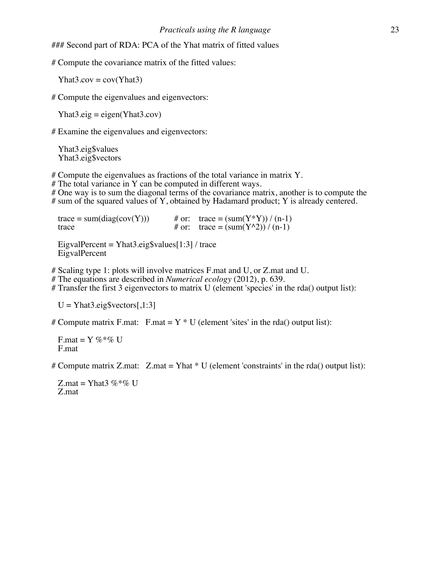### Second part of RDA: PCA of the Yhat matrix of fitted values

# Compute the covariance matrix of the fitted values:

 $Yhat3.cov = cov(Yhat3)$ 

# Compute the eigenvalues and eigenvectors:

 $Yhat3.eig = eigen(Yhat3.cov)$ 

# Examine the eigenvalues and eigenvectors:

 Yhat3.eig\$values Yhat3.eig\$vectors

# Compute the eigenvalues as fractions of the total variance in matrix Y.

# The total variance in Y can be computed in different ways.

# One way is to sum the diagonal terms of the covariance matrix, another is to compute the # sum of the squared values of Y, obtained by Hadamard product; Y is already centered.

trace = sum(diag(cov(Y))) # or: trace = (sum(Y\*Y)) / (n-1)<br>trace =  $\frac{m(Y*Y)}{n-1}$ # or: trace =  $\text{(sum}(Y^{\wedge}2)) / (n-1)$ 

EigvalPercent = Yhat3.eig\$values $[1:3]$  / trace EigvalPercent

# Scaling type 1: plots will involve matrices F.mat and U, or Z.mat and U.

# The equations are described in *Numerical ecology* (2012), p. 639.

# Transfer the first 3 eigenvectors to matrix U (element 'species' in the rda() output list):

 $U = Yhat3.eig$vectors[1:3]$ 

# Compute matrix F.mat: F.mat =  $Y * U$  (element 'sites' in the rda() output list):

F.mat =  $Y \%^* \%$  U F.mat

# Compute matrix Z.mat:  $Z$ .mat = Yhat  $*$  U (element 'constraints' in the rda() output list):

Z.mat = Yhat $3\%*$ % U Z.mat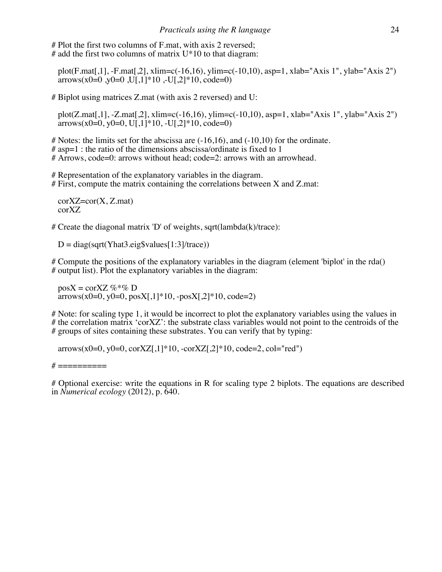# Plot the first two columns of F.mat, with axis 2 reversed; # add the first two columns of matrix  $U^*10$  to that diagram:

 plot(F.mat[,1], -F.mat[,2], xlim=c(-16,16), ylim=c(-10,10), asp=1, xlab="Axis 1", ylab="Axis 2") arrows(x0=0,y0=0,U[,1]\*10,-U[,2]\*10, code=0)

# Biplot using matrices Z.mat (with axis 2 reversed) and U:

 plot(Z.mat[,1], -Z.mat[,2], xlim=c(-16,16), ylim=c(-10,10), asp=1, xlab="Axis 1", ylab="Axis 2")  $arrows(x0=0, y0=0, U[, 1]*10, -U[, 2]*10, code=0)$ 

 $\#$  Notes: the limits set for the abscissa are  $(-16,16)$ , and  $(-10,10)$  for the ordinate.

 $\#$  asp=1 : the ratio of the dimensions abscissa/ordinate is fixed to 1

# Arrows, code=0: arrows without head; code=2: arrows with an arrowhead.

# Representation of the explanatory variables in the diagram. # First, compute the matrix containing the correlations between X and Z.mat:

 $corXZ=cor(X, Z, mat)$ corXZ

# Create the diagonal matrix 'D' of weights, sqrt(lambda(k)/trace):

 $D = diag(sqrt(Yhat3.eigSvalues[1:3]/trace))$ 

# Compute the positions of the explanatory variables in the diagram (element 'biplot' in the rda() # output list). Plot the explanatory variables in the diagram:

 $posX = corXZ \%^* \% D$  $arrows(x0=0, y0=0, posX[, 1]*10, -posX[, 2]*10, code=2)$ 

# Note: for scaling type 1, it would be incorrect to plot the explanatory variables using the values in # the correlation matrix 'corXZ': the substrate class variables would not point to the centroids of the # groups of sites containing these substrates. You can verify that by typing:

 $arrows(x0=0, y0=0, corXZ[, 1]*10, -corXZ[, 2]*10, code=2, col="red")$ 

 $\#$  ===========

# Optional exercise: write the equations in R for scaling type 2 biplots. The equations are described in *Numerical ecology* (2012), p. 640.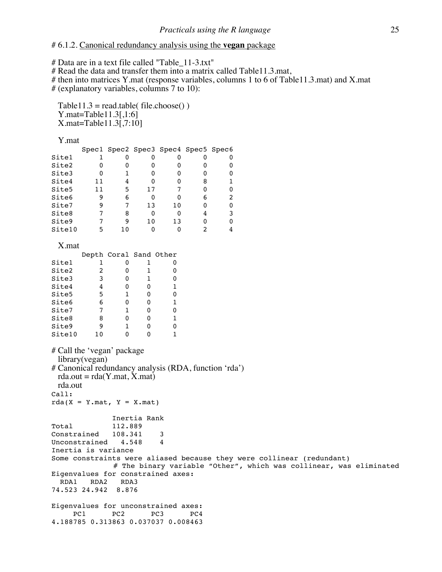#### # 6.1.2. Canonical redundancy analysis using the **vegan** package

# Data are in a text file called "Table\_11-3.txt"

# Read the data and transfer them into a matrix called Table11.3.mat,

# then into matrices Y.mat (response variables, columns 1 to 6 of Table11.3.mat) and X.mat

# (explanatory variables, columns 7 to 10):

 $Table11.3 = read_table( file.close())$  Y.mat=Table11.3[,1:6] X.mat=Table11.3[,7:10]

#### Y.mat

|        |    |   | Spec1 Spec2 Spec3 Spec4 Spec5 Spec6 |    |  |
|--------|----|---|-------------------------------------|----|--|
| Site1  |    |   |                                     |    |  |
| Site2  |    |   |                                     |    |  |
| Site3  |    |   |                                     |    |  |
| Site4  | 11 |   |                                     |    |  |
| Site5  | 11 | 5 | 17                                  |    |  |
| Site6  |    | 6 | ŋ                                   |    |  |
| Site7  |    |   | 13                                  | 10 |  |
| Site8  |    | 8 | O                                   |    |  |
| Site9  |    |   | 10                                  | 13 |  |
| Site10 |    |   |                                     |    |  |

#### X.mat

|        |   | Depth Coral Sand Other |   |   |
|--------|---|------------------------|---|---|
| Site1  |   |                        |   |   |
| Site2  | 2 |                        | 1 |   |
| Site3  | 3 | Ω                      | 1 | O |
| Site4  | 4 | ი                      | ი |   |
| Site5  | 5 | 1                      | O |   |
| Site6  | 6 |                        |   |   |
| Site7  | 7 | 1                      |   |   |
| Site8  | 8 |                        |   |   |
| Site9  | 9 |                        |   |   |
| Site10 |   |                        |   |   |

```
# Call the 'vegan' package
  library(vegan)
# Canonical redundancy analysis (RDA, function 'rda')
 rda.out = rda(Y.mat, X.mat) rda.out
Call:
rda(X = Y.mat, Y = X.mat) Inertia Rank
Total 112.889 
Constrained 108.341 3
Unconstrained 4.548 4
Inertia is variance 
Some constraints were aliased because they were collinear (redundant)
             # The binary variable "Other", which was collinear, was eliminated
Eigenvalues for constrained axes:
  RDA1 RDA2 RDA3 
74.523 24.942 8.876 
Eigenvalues for unconstrained axes:
    PC1 PC2 PC3 PC4
4.188785 0.313863 0.037037 0.008463
```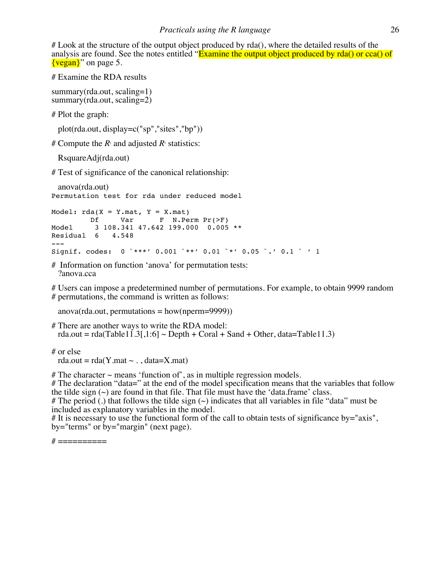# Look at the structure of the output object produced by rda(), where the detailed results of the analysis are found. See the notes entitled "Examine the output object produced by rda() or cca() of  $\{vegan\}$ " on page 5.

# Examine the RDA results

summary(rda.out, scaling=1) summary(rda.out, scaling=2)

# Plot the graph:

plot(rda.out, display=c("sp","sites","bp"))

# Compute the  $R_2$  and adjusted  $R_2$  statistics:

RsquareAdj(rda.out)

# Test of significance of the canonical relationship:

 anova(rda.out) Permutation test for rda under reduced model

```
Model: rda(X = Y.mat, Y = X.mat) Df Var F N.Perm Pr(>F) 
Model 3 108.341 47.642 199.000 0.005 **
Residual 6 4.548 
---
Signif. codes: 0 `***' 0.001 `**' 0.01 `*' 0.05 `.' 0.1 ` ' 1
```
# Information on function 'anova' for permutation tests: ?anova.cca

# Users can impose a predetermined number of permutations. For example, to obtain 9999 random # permutations, the command is written as follows:

anova(rda.out, permutations = how(nperm=9999))

# There are another ways to write the RDA model: rda.out = rda(Table11.3[,1:6]  $\sim$  Depth + Coral + Sand + Other, data=Table11.3)

# or else

rda.out =  $rda(Y.mat \sim .$ , data=X.mat)

# The character  $\sim$  means 'function of', as in multiple regression models.

# The declaration "data=" at the end of the model specification means that the variables that follow the tilde sign  $(\sim)$  are found in that file. That file must have the 'data.frame' class.

# The period (.) that follows the tilde sign  $(\sim)$  indicates that all variables in file "data" must be included as explanatory variables in the model.

# It is necessary to use the functional form of the call to obtain tests of significance by="axis",  $by="terms" or by="margin" (next page).$ 

 $\# == == == == == ==$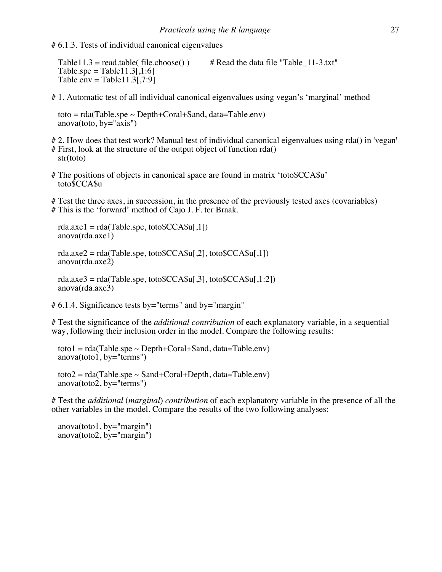# 6.1.3. Tests of individual canonical eigenvalues

Table11.3 = read.table( file.choose() ) # Read the data file "Table  $11-3.txt$ " Table.spe = Table  $11.3$ [,1:6]  $Tableenv = Table11.3[7:9]$ 

# 1. Automatic test of all individual canonical eigenvalues using vegan's 'marginal' method

toto =  $rda(Table.\text{spe} \sim \text{Depth}+\text{Coral}+\text{Sand}, data=Table.\text{env})$ anova(toto, by="axis")

# 2. How does that test work? Manual test of individual canonical eigenvalues using rda() in 'vegan' # First, look at the structure of the output object of function rda() str(toto)

# The positions of objects in canonical space are found in matrix 'toto\$CCA\$u' toto\$CCA\$u

# Test the three axes, in succession, in the presence of the previously tested axes (covariables) # This is the 'forward' method of Cajo J. F. ter Braak.

rda.axe1 =  $rda(Table.\text{spe}, \text{toto$CCA$ul}, 1)$ anova(rda.axe1)

rda.axe2 = rda(Table.spe, toto $CCA\$ u[,2], toto $CCA\$ u[,1]) anova(rda.axe2)

 $rda.axe3 = rda(Table. spe, to to $CCA$u[.3], to to $CCA$u[.1:2])$ anova(rda.axe3)

 $\# 6.1.4$ . Significance tests by="terms" and by="margin"

# Test the significance of the *additional contribution* of each explanatory variable, in a sequential way, following their inclusion order in the model. Compare the following results:

toto1 =  $rda(Table.\text{spe} \sim \text{Depth}+\text{Coral}+\text{Sand}, data=\text{Table}.\text{env})$ anova(toto1, by="terms")

 $\text{toto2} = \text{rda}(\text{Table}.\text{spe} \sim \text{Sand} + \text{Coral} + \text{Depth}, \text{data} = \text{Table}.\text{env})$  $anova(toto2, by="terms")$ 

# Test the *additional* (*marginal*) *contribution* of each explanatory variable in the presence of all the other variables in the model. Compare the results of the two following analyses:

anova(toto1, by="margin")<br>anova(toto2, by="margin")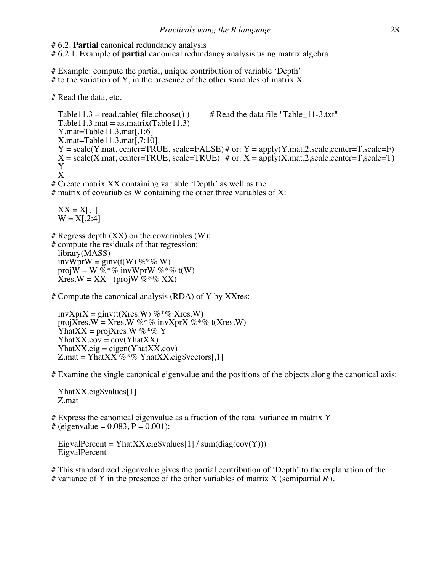#### # 6.2. **Partial** canonical redundancy analysis

# 6.2.1. Example of **partial** canonical redundancy analysis using matrix algebra

# Example: compute the partial, unique contribution of variable 'Depth'  $#$  to the variation of Y, in the presence of the other variables of matrix X.

# Read the data, etc.

Table11.3 = read.table( file.choose() )  $#$  Read the data file "Table\_11-3.txt" Table11.3.mat = as.matrix(Table11.3) Y.mat=Table11.3.mat[,1:6] X.mat=Table11.3.mat[,7:10]  $Y = scale(Y.mat, center = TRUE, scale = FALSE)$  # or:  $Y = apply(Y.mat,2, scale, center = T, scale = F)$  $X = scale(X, mat, center = TRUE, scale = TRUE)$  # or:  $X = apply(X, mat, 2, scale, center = T, scale = T)$  Y X

# Create matrix XX containing variable 'Depth' as well as the

 $#$  matrix of covariables W containing the other three variables of X:

 $XX = X[0,1]$  $W = X[0,2:4]$ 

 $#$  Regress depth  $(XX)$  on the covariables  $(W)$ ;

# compute the residuals of that regression: library(MASS) invWprW = ginv(t(W)  $\%* \% W$ ) proj $\overline{W} = W \ \overline{\%} * \mathcal{C}$  invWprW  $\mathcal{C} * \mathcal{C}$  t(W)  $Xres.W = XX - (projW \% * \% XX)$ 

# Compute the canonical analysis (RDA) of Y by XXres:

 $invXprX = ginv(t(Xres.W) %$  %  $\%$  Xres.W) proj $\overline{X}$ res.W = Xres.W %\*% invXprX %\*% t(Xres.W) YhatXX = projXres.W %\*% Y  $YhatXX.cov = cov(YhatXX)$  $YhatXX.eig = eigen(YhatXX.cov)$  $Z$ .mat = YhatXX %<sup>\*</sup>% YhatXX.eig\$vectors[,1]

# Examine the single canonical eigenvalue and the positions of the objects along the canonical axis:

 YhatXX.eig\$values[1] Z.mat

# Express the canonical eigenvalue as a fraction of the total variance in matrix Y # (eigenvalue =  $0.083$ ,  $P = 0.001$ ):

EigvalPercent = YhatXX.eig\$values[1] / sum(diag(cov(Y))) EigvalPercent

# This standardized eigenvalue gives the partial contribution of 'Depth' to the explanation of the # variance of Y in the presence of the other variables of matrix X (semipartial  $R$ <sup>2</sup>).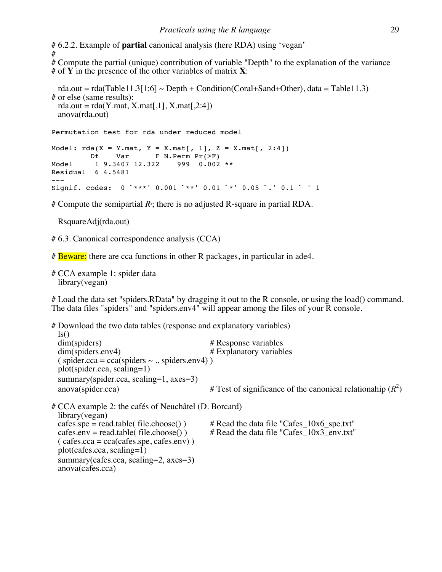# 6.2.2. Example of **partial** canonical analysis (here RDA) using 'vegan' #

# Compute the partial (unique) contribution of variable "Depth" to the explanation of the variance # of **Y** in the presence of the other variables of matrix **X**:

```
rda.out = rda(Table11.3[1:6] \sim Depth + Condition(Coral+Sand+Other), data = Table11.3)
# or else (same results):
 rda.out = rda(Y.math, X.math,1], X.math,2:4] anova(rda.out)
```
Permutation test for rda under reduced model

```
Model: rda(X = Y.math, Y = X.math[, 1], Z = X.math[, 2:4]) Df Var F N.Perm Pr(>F) 
Model 1 9.3407 12.322 999 0.002 **
Residual 6 4.5481 
---
Signif. codes: 0 `***' 0.001 `**' 0.01 `*' 0.05 `.' 0.1 ` ' 1
```
# Compute the semipartial *R*<sup>2</sup> ; there is no adjusted R-square in partial RDA.

RsquareAdj(rda.out)

# 6.3. Canonical correspondence analysis (CCA)

# Beware: there are cca functions in other R packages, in particular in ade4.

# CCA example 1: spider data library(vegan)

# Load the data set "spiders.RData" by dragging it out to the R console, or using the load() command. The data files "spiders" and "spiders.env4" will appear among the files of your R console.

| # Download the two data tables (response and explanatory variables)<br>$\lg()$                                                                                                  |                                                                                          |
|---------------------------------------------------------------------------------------------------------------------------------------------------------------------------------|------------------------------------------------------------------------------------------|
| dim(spiders)                                                                                                                                                                    | # Response variables                                                                     |
| dim(spiders.env4)                                                                                                                                                               | # Explanatory variables                                                                  |
| $\sigma$ (spider.cca = cca(spiders $\sim$ ., spiders.env4))<br>$plot(spider.cca, scaling=1)$                                                                                    |                                                                                          |
| summary(spider.cca, scaling=1, axes=3)                                                                                                                                          |                                                                                          |
| anova(spider.cca)                                                                                                                                                               | # Test of significance of the canonical relationahip $(R^2)$                             |
| # CCA example 2: the cafés of Neuchâtel (D. Borcard)<br>library(vegan)                                                                                                          |                                                                                          |
| $cases.\text{spe} = \text{read.table}(\text{file.choose}()$<br>$cases env = read_table(file.close())$<br>$\text{(cafes.cca} = \text{cca}(\text{cafes.spe}, \text{cafes.env})$ ) | $#$ Read the data file "Cafes_10x6_spe.txt"<br># Read the data file "Cafes 10x3 env.txt" |
| $plot(cafes.cca, scaling=1)$                                                                                                                                                    |                                                                                          |
| summary (cafes.cca, scaling=2, axes=3)<br>anova(cafes.cca)                                                                                                                      |                                                                                          |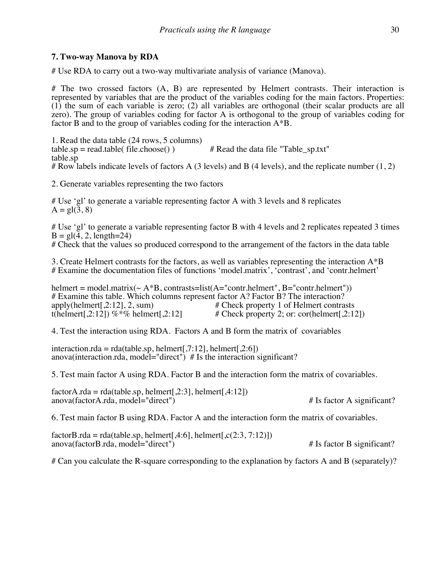# **7. Two-way Manova by RDA**

# Use RDA to carry out a two-way multivariate analysis of variance (Manova).

# The two crossed factors (A, B) are represented by Helmert contrasts. Their interaction is represented by variables that are the product of the variables coding for the main factors. Properties: (1) the sum of each variable is zero; (2) all variables are orthogonal (their scalar products are all zero). The group of variables coding for factor A is orthogonal to the group of variables coding for factor B and to the group of variables coding for the interaction A\*B.

1. Read the data table (24 rows, 5 columns) table.sp = read.table( file.choose() )  $\qquad$  # Read the data file "Table sp.txt" table.sp # Row labels indicate levels of factors A (3 levels) and B (4 levels), and the replicate number (1, 2)

2. Generate variables representing the two factors

# Use 'gl' to generate a variable representing factor A with 3 levels and 8 replicates  $A = gl(3, 8)$ 

# Use 'gl' to generate a variable representing factor B with 4 levels and 2 replicates repeated 3 times  $B = gl(\overline{4}, 2, length=24)$ 

# Check that the values so produced correspond to the arrangement of the factors in the data table

3. Create Helmert contrasts for the factors, as well as variables representing the interaction A\*B # Examine the documentation files of functions 'model.matrix', 'contrast', and 'contr.helmert'

helmert = model.matrix( $\sim A^*B$ , contrasts=list( $A$ ="contr.helmert", B="contr.helmert")) # Examine this table. Which columns represent factor A? Factor B? The interaction?<br>apply(helmert[.2:12], 2, sum)  $\#$  Check property 1 of Helmert contrast apply(helmert[,2:12], 2, sum)  $\#$  Check property 1 of Helmert contrasts t(helmert[,2:12]) %  $\%$  helmert[,2:12]  $\#$  Check property 2; or: cor(helmert[,2:12]  $#$  Check property 2; or: cor(helmert[,2:12])

4. Test the interaction using RDA. Factors A and B form the matrix of covariables

interaction.rda = rda(table.sp, helmert[,7:12], helmert[,2:6]) anova(interaction.rda, model="direct") # Is the interaction significant?

5. Test main factor A using RDA. Factor B and the interaction form the matrix of covariables.

 $factor A. rda = rda(table.sp, helmert[,2:3], helmert[,4:12])$ anova(factorA.rda, model="direct") # Is factor A significant?

6. Test main factor B using RDA. Factor A and the interaction form the matrix of covariables.

factorB.rda = rda(table.sp, helmert[,4:6], helmert[, $c(2:3, 7:12)$ ]) anova(factorB.rda, model="direct") # Is factor B significant?

# Can you calculate the R-square corresponding to the explanation by factors A and B (separately)?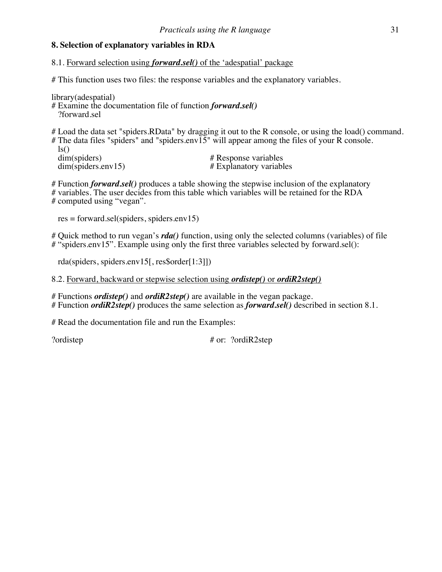# **8. Selection of explanatory variables in RDA**

8.1. Forward selection using *forward.sel()* of the 'adespatial' package

# This function uses two files: the response variables and the explanatory variables.

library(adespatial) # Examine the documentation file of function *forward.sel()* ?forward.sel

# Load the data set "spiders.RData" by dragging it out to the R console, or using the load() command. # The data files "spiders" and "spiders.env $\overline{15}$ " will appear among the files of your R console. ls()<br>dim(spiders) dim(spiders) # Response variables<br>dim(spiders.env15) # Explanatory variables  $#$  Explanatory variables.

# Function *forward.sel()* produces a table showing the stepwise inclusion of the explanatory # variables. The user decides from this table which variables will be retained for the RDA # computed using "vegan".

res = forward.sel(spiders, spiders.env15)

# Quick method to run vegan's *rda()* function, using only the selected columns (variables) of file # "spiders.env15". Example using only the first three variables selected by forward.sel():

rda(spiders, spiders.env15[, res\$order[1:3]])

8.2. Forward, backward or stepwise selection using *ordistep()* or *ordiR2step()*

# Functions *ordistep()* and *ordiR2step()* are available in the vegan package. # Function *ordiR2step()* produces the same selection as *forward.sel()* described in section 8.1.

# Read the documentation file and run the Examples:

?ordistep  $\#$  or: ?ordiR2step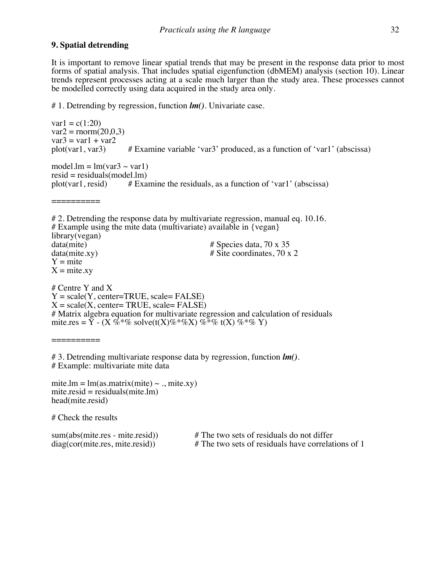#### **9. Spatial detrending**

It is important to remove linear spatial trends that may be present in the response data prior to most forms of spatial analysis. That includes spatial eigenfunction (dbMEM) analysis (section 10). Linear trends represent processes acting at a scale much larger than the study area. These processes cannot be modelled correctly using data acquired in the study area only.

# 1. Detrending by regression, function *lm()*. Univariate case.

 $var1 = c(1:20)$  $var2 = \text{norm}(20.0, 3)$  $var3 = var1 + var2$ <br>plot(var1, var3)  $#$  Examine variable 'var3' produced, as a function of 'var1' (abscissa) model.lm =  $lm(var3 \sim var1)$ resid = residuals(model.lm)<br>plot(var1, resid) # Example  $#$  Examine the residuals, as a function of 'var1' (abscissa) ========== # 2. Detrending the response data by multivariate regression, manual eq. 10.16. # Example using the mite data (multivariate) available in  $\{vegan\}$ library(vegan)<br>data(mite) data(mite)  $\qquad$  # Species data, 70 x 35<br>data(mite.xy)  $\qquad$  # Site coordinates, 70 x # Site coordinates, 70 x 2  $Y = mite$  $X =$  mite.xy # Centre Y and X  $Y = scale(Y, center = TRUE, scale = FALSE)$  $X = scale(X, center = TRUE, scale = FALSE)$ # Matrix algebra equation for multivariate regression and calculation of residuals mite.res =  $\overline{Y}$  - (X %<sup>\*</sup>% solve(t(X)%<sup>\*</sup>%X) %<sup>\*</sup>% t(X) %<sup>\*</sup>% Y) ==========

# 3. Detrending multivariate response data by regression, function *lm()*. # Example: multivariate mite data

mite.lm =  $lm(as.matrix(mite) \sim .$ , mite.xy)  $mite.read = residuals(mite.lm)$ head(mite.resid)

# Check the results

sum(abs(mite.res - mite.resid)) # The two sets of residuals do not differ diag(cor(mite.res, mite.resid)) # The two sets of residuals have correlat  $#$  The two sets of residuals have correlations of 1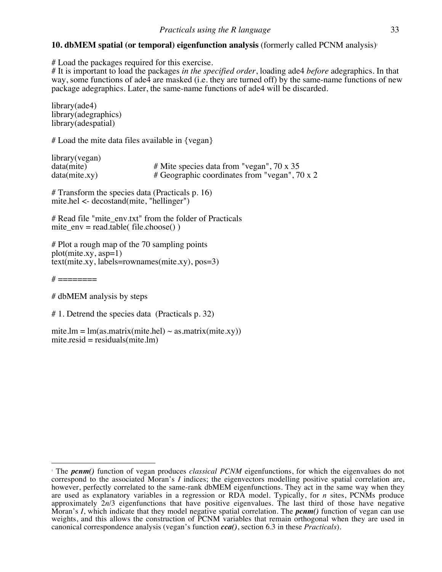# **10. dbMEM spatial (or temporal) eigenfunction analysis** (formerly called PCNM analysis)<sup>1</sup>

# Load the packages required for this exercise.

# It is important to load the packages *in the specified order*, loading ade4 *before* adegraphics. In that way, some functions of ade4 are masked (i.e. they are turned off) by the same-name functions of new package adegraphics. Later, the same-name functions of ade4 will be discarded.

library(ade4) library(adegraphics) library(adespatial)

# Load the mite data files available in {vegan}

library(vegan)<br>data(mite) data(mite) # Mite species data from "vegan", 70 x 35<br>data(mite.xy) # Geographic coordinates from "vegan", 70 # Geographic coordinates from "vegan", 70 x 2

# Transform the species data (Practicals p. 16) mite.hel <- decostand(mite, "hellinger")

# Read file "mite\_env.txt" from the folder of Practicals mite  $env = read.title ( file.close())$ 

# Plot a rough map of the 70 sampling points plot(mite.xy, asp=1) text(mite.xy, labels=rownames(mite.xy), pos=3)

 $\#$  ========

# dbMEM analysis by steps

# 1. Detrend the species data (Practicals p. 32)

mite.lm =  $lm(as.matrix(mite.hel) \sim as.matrix(mite.xy))$  $mite.resid = residuals(mite.lm)$ 

 <sup>1</sup> The *pcnm()* function of vegan produces *classical PCNM* eigenfunctions, for which the eigenvalues do not correspond to the associated Moran's *I* indices; the eigenvectors modelling positive spatial correlation are, however, perfectly correlated to the same-rank dbMEM eigenfunctions. They act in the same way when they are used as explanatory variables in a regression or RDA model. Typically, for *n* sites, PCNMs produce approximately  $2n/3$  eigenfunctions that have positive eigenvalues. The last third of those have negative Moran's *I*, which indicate that they model negative spatial correlation. The *pcnm()* function of vegan can use weights, and this allows the construction of PCNM variables that remain orthogonal when they are used in canonical correspondence analysis (vegan's function *cca()*, section 6.3 in these *Practicals*).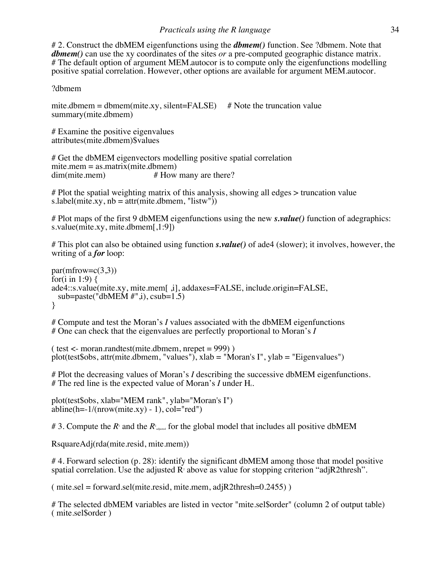# 2. Construct the dbMEM eigenfunctions using the *dbmem()* function. See ?dbmem. Note that *dbmem()* can use the xy coordinates of the sites *or* a pre-computed geographic distance matrix. # The default option of argument MEM.autocor is to compute only the eigenfunctions modelling positive spatial correlation. However, other options are available for argument MEM.autocor.

# ?dbmem

mite.dbmem = dbmem(mite.xy, silent=FALSE)  $#$  Note the truncation value summary(mite.dbmem)

# Examine the positive eigenvalues attributes(mite.dbmem)\$values

# Get the dbMEM eigenvectors modelling positive spatial correlation mite.mem = as.matrix(mite.dbmem)<br>dim(mite.mem) #  $H$  $#$  How many are there?

# Plot the spatial weighting matrix of this analysis, showing all edges > truncation value s.label(mite.xy,  $nb = attr(mite.dbmem, "listw"))$ )

# Plot maps of the first 9 dbMEM eigenfunctions using the new *s.value()* function of adegraphics: s.value(mite.xy, mite.dbmem[,1:9])

# This plot can also be obtained using function *s.value()* of ade4 (slower); it involves, however, the writing of a *for* loop:

 $par(mfrow=c(3,3))$ for(i in 1:9)  $\{$ ade4::s.value(mite.xy, mite.mem[ ,i], addaxes=FALSE, include.origin=FALSE, sub=paste("dbMEM  $#$ ",i), csub=1.5) }

# Compute and test the Moran's *I* values associated with the dbMEM eigenfunctions # One can check that the eigenvalues are perfectly proportional to Moran's *I*

 $($  test  $\lt$ - moran.randtest(mite.dbmem, nrepet = 999)) plot(test\$obs, attr(mite.dbmem, "values"), xlab = "Moran's I", ylab = "Eigenvalues")

# Plot the decreasing values of Moran's *I* describing the successive dbMEM eigenfunctions.  $#$  The red line is the expected value of Moran's *I* under H<sub>0</sub>.

plot(test\$obs, xlab="MEM rank", ylab="Moran's I")  $abline(h=-1/(nrow(mite.xy) - 1), col="red")$ 

# 3. Compute the  $R$ <sup>2</sup> and the  $R$ <sup>2</sup> aljusted for the global model that includes all positive dbMEM

RsquareAdj(rda(mite.resid, mite.mem))

#4. Forward selection (p. 28): identify the significant dbMEM among those that model positive spatial correlation. Use the adjusted  $\mathbb{R}^2$  above as value for stopping criterion "adjR2thresh".

 $(mite. sel = forward. sel/mite. resid, mite. mem, adiR2thresh=0.2455)$ 

# The selected dbMEM variables are listed in vector "mite.sel\$order" (column 2 of output table) ( mite.sel\$order )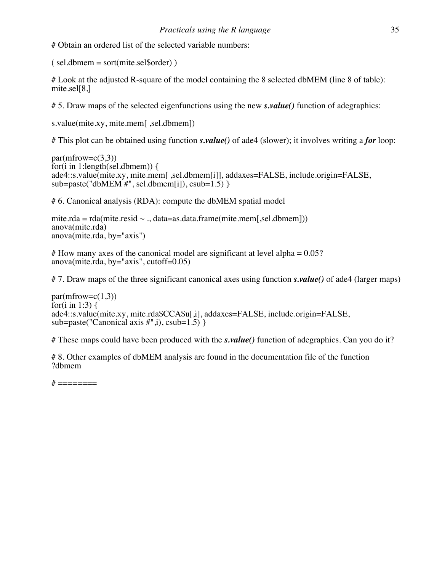# Obtain an ordered list of the selected variable numbers:

 $(sel.dbmem = sort(mite.sel\$order))$ 

# Look at the adjusted R-square of the model containing the 8 selected dbMEM (line 8 of table): mite.sel[8,]

# 5. Draw maps of the selected eigenfunctions using the new *s.value()* function of adegraphics:

s.value(mite.xy, mite.mem[ ,sel.dbmem])

# This plot can be obtained using function *s.value()* of ade4 (slower); it involves writing a *for* loop:

```
par(mfrow=c(3,3))for(i in 1:length(sel.dbmem)) \{ade4::s.value(mite.xy, mite.mem[ ,sel.dbmem[i]], addaxes=FALSE, include.origin=FALSE, 
sub=paste("dbMEM #", sel.dbmem[i]), csub=1.5) }
```
# 6. Canonical analysis (RDA): compute the dbMEM spatial model

```
mite.rda = rda(mite.resid \sim ., data=as.data.frame(mite.mem[,sel.dbmem]))
anova(mite.rda)
anova(mite, rda, by="axis")
```

```
\# How many axes of the canonical model are significant at level alpha = 0.05?
anova(mite.rda, by="axis", cutoff=0.05)
```
# 7. Draw maps of the three significant canonical axes using function *s.value()* of ade4 (larger maps)

```
par(mfrow=c(1,3))for(i in 1:3) \{ade4::s.value(mite.xy, mite.rda$CCA$u[,i], addaxes=FALSE, include.origin=FALSE, 
sub=paste("Canonical axis \#", i), csub=1.5) }
```
# These maps could have been produced with the *s.value()* function of adegraphics. Can you do it?

# 8. Other examples of dbMEM analysis are found in the documentation file of the function ?dbmem

 $\#$  ========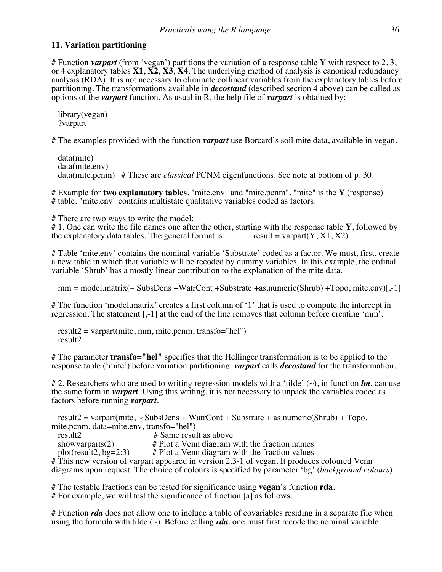#### **11. Variation partitioning**

# Function *varpart* (from 'vegan') partitions the variation of a response table **Y** with respect to 2, 3, or 4 explanatory tables **X1**, **X2**, **X3**, **X4**. The underlying method of analysis is canonical redundancy analysis (RDA). It is not necessary to eliminate collinear variables from the explanatory tables before partitioning. The transformations available in *decostand* (described section 4 above) can be called as options of the *varpart* function. As usual in R, the help file of *varpart* is obtained by:

 library(vegan) ?varpart

# The examples provided with the function *varpart* use Borcard's soil mite data, available in vegan.

 data(mite) data(mite.env) data(mite.pcnm) # These are *classical* PCNM eigenfunctions. See note at bottom of p. 30.

# Example for **two explanatory tables**, "mite.env" and "mite.pcnm". "mite" is the **Y** (response) # table. "mite.env" contains multistate qualitative variables coded as factors.

# There are two ways to write the model:

# 1. One can write the file names one after the other, starting with the response table **Y**, followed by the explanatory data tables. The general format is: result = varpart(**Y**, **X**1, **X**2) the explanatory data tables. The general format is:

# Table 'mite.env' contains the nominal variable 'Substrate' coded as a factor. We must, first, create a new table in which that variable will be recoded by dummy variables. In this example, the ordinal variable 'Shrub' has a mostly linear contribution to the explanation of the mite data.

 $mm = model.matrix(\sim SubsDens +WatrCont +Substrate +as.numeric(Shrub) +Topo, mite.env)[-1]$ 

# The function 'model.matrix' creates a first column of '1' that is used to compute the intercept in regression. The statement [,-1] at the end of the line removes that column before creating 'mm'.

 $result2 = varpart(mite, mm, mite.pcmm, transfo="hel")$ result2

# The parameter **transfo="hel"** specifies that the Hellinger transformation is to be applied to the response table ('mite') before variation partitioning. *varpart* calls *decostand* for the transformation.

# 2. Researchers who are used to writing regression models with a 'tilde' (~), in function *lm*, can use the same form in *varpart*. Using this writing, it is not necessary to unpack the variables coded as factors before running *varpart*.

result2 = varpart(mite,  $\sim$  SubsDens + WatrCont + Substrate + as numeric(Shrub) + Topo, mite.pcnm, data=mite.env, transfo="hel")<br>result2 # Same result as above

showvarparts(2) # Plot a Venn diagram with the fraction names plot(result2, bg=2:3) # Plot a Venn diagram with the fraction values

# This new version of varpart appeared in version 2.3-1 of vegan. It produces coloured Venn diagrams upon request. The choice of colours is specified by parameter 'bg' (*background colours*).

# The testable fractions can be tested for significance using **vegan**'s function **rda**. # For example, we will test the significance of fraction [a] as follows.

# Function *rda* does not allow one to include a table of covariables residing in a separate file when using the formula with tilde  $(\sim)$ . Before calling *rda*, one must first recode the nominal variable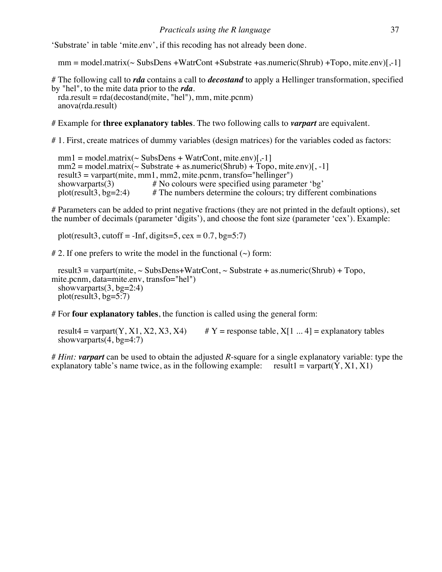'Substrate' in table 'mite.env', if this recoding has not already been done.

 $mm = model.matrix(\sim SubsDens +WatrCont +Substrate + as.numeric(Shrub) + Topo, mite env)$ [-1]

# The following call to *rda* contains a call to *decostand* to apply a Hellinger transformation, specified by "hel", to the mite data prior to the *rda*.

 $rda.read = rda(decostand(mite, "hel"), mm, mite.pcnm)$ anova(rda.result)

# Example for **three explanatory tables**. The two following calls to *varpart* are equivalent.

# 1. First, create matrices of dummy variables (design matrices) for the variables coded as factors:

 $mm1 = model.matrix(\sim SubsDens + WatrCont, mite. env)[-1]$  $mm2 = model.matrix(~Substrate + as.numeric(Shrub) + Topo, mite.env)$ [, -1] result3 = varpart(mite, mm1, mm2, mite.pcnm, transfo="hellinger")<br>showvarparts(3)  $#$  No colours were specified using param showvarparts(3)  $#$  No colours were specified using parameter 'bg' plot(result3, bg=2:4)  $#$  The numbers determine the colours; try different  $#$  The numbers determine the colours; try different combinations

# Parameters can be added to print negative fractions (they are not printed in the default options), set the number of decimals (parameter 'digits'), and choose the font size (parameter 'cex'). Example:

plot(result3, cutoff = -Inf, digits=5, cex =  $0.7$ , bg=5:7)

# 2. If one prefers to write the model in the functional  $(\sim)$  form:

result3 = varpart(mite,  $\sim$  SubsDens+WatrCont,  $\sim$  Substrate + as numeric(Shrub) + Topo, mite.pcnm, data=mite.env, transfo="hel") showvarparts $(3, bg=2:4)$ plot(result3,  $bg=5:7$ )

# For **four explanatory tables**, the function is called using the general form:

result4 = varpart(Y, X1, X2, X3, X4) #  $Y$  = response table, X[1 ... 4] = explanatory tables showvarparts $(4, bg=4:7)$ 

# *Hint: varpart* can be used to obtain the adjusted *R*-square for a single explanatory variable: type the explanatory table's name twice, as in the following example: result1 = varpart( $\dot{Y}$ ,  $X1$ ,  $X1$ )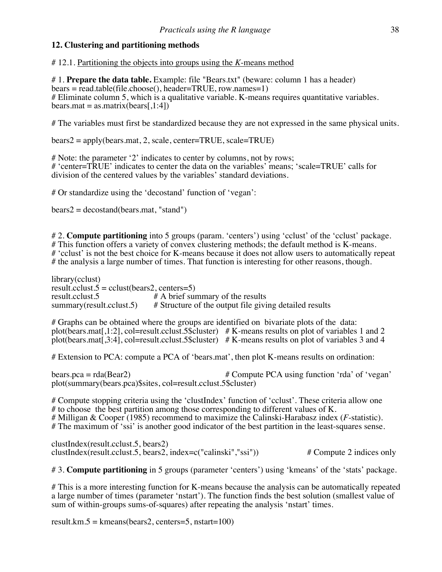# **12. Clustering and partitioning methods**

# 12.1. Partitioning the objects into groups using the *K*-means method

# 1. **Prepare the data table.** Example: file "Bears.txt" (beware: column 1 has a header) bears = read.table(file.choose(), header=TRUE, row.names=1) # Eliminate column 5, which is a qualitative variable. K-means requires quantitative variables.  $bears.math = as.mathix(bears[1:4])$ 

# The variables must first be standardized because they are not expressed in the same physical units.

bears2 = apply(bears.mat, 2, scale, center=TRUE, scale=TRUE)

# Note: the parameter '2' indicates to center by columns, not by rows; # 'center=TRUE' indicates to center the data on the variables' means; 'scale=TRUE' calls for division of the centered values by the variables' standard deviations.

# Or standardize using the 'decostand' function of 'vegan':

 $bears2 = decostand(bears.math, "stand")$ 

# 2. **Compute partitioning** into 5 groups (param. 'centers') using 'cclust' of the 'cclust' package. # This function offers a variety of convex clustering methods; the default method is K-means. # 'cclust' is not the best choice for K-means because it does not allow users to automatically repeat # the analysis a large number of times. That function is interesting for other reasons, though.

library(cclust) result.cclust.5 = cclust(bears2, centers=5)<br>result.cclust.5 # A brief surf result.cclust.5  $\# A$  brief summary of the results<br>summary(result.cclust.5)  $\#$  Structure of the output file givi  $#$  Structure of the output file giving detailed results

# Graphs can be obtained where the groups are identified on bivariate plots of the data: plot(bears.mat[,1:2], col=result.cclust.5\$cluster)  $# K$ -means results on plot of variables 1 and 2 plot(bears.mat[,3:4], col=result.cclust.5\$cluster) # K-means results on plot of variables 3 and 4

# Extension to PCA: compute a PCA of 'bears.mat', then plot K-means results on ordination:

bears.pca = rda(Bear2)  $\#$  Compute PCA using function 'rda' of 'vegan' plot(summary(bears.pca)\$sites, col=result.cclust.5\$cluster)

# Compute stopping criteria using the 'clustIndex' function of 'cclust'. These criteria allow one # to choose the best partition among those corresponding to different values of K. # Milligan & Cooper (1985) recommend to maximize the Calinski-Harabasz index (*F*-statistic). # The maximum of 'ssi' is another good indicator of the best partition in the least-squares sense.

clustIndex(result.cclust.5, bears2) clustIndex(result.cclust.5, bears2, index=c("calinski","ssi")) # Compute 2 indices only

# 3. **Compute partitioning** in 5 groups (parameter 'centers') using 'kmeans' of the 'stats' package.

# This is a more interesting function for K-means because the analysis can be automatically repeated a large number of times (parameter 'nstart'). The function finds the best solution (smallest value of sum of within-groups sums-of-squares) after repeating the analysis 'nstart' times.

result.km.5 = kmeans(bears2, centers=5, nstart=100)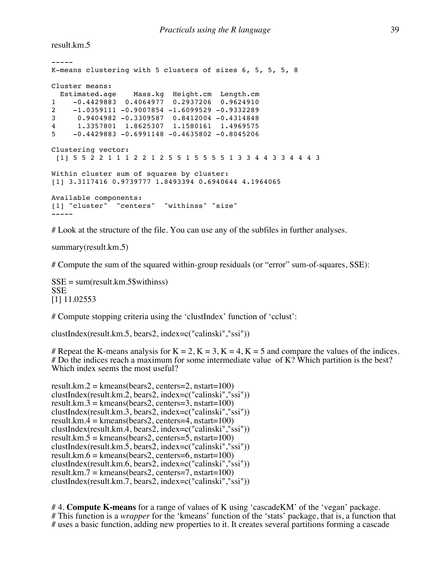result.km.5

```
-----
K-means clustering with 5 clusters of sizes 6, 5, 5, 5, 8
Cluster means:
  Estimated.age Mass.kg Height.cm Length.cm
1 -0.4429883 0.4064977 0.2937206 0.9624910
2 -1.0359111 -0.9007854 -1.6099529 -0.9332289
3 0.9404982 -0.3309587 0.8412004 -0.4314848
4 1.3357801 1.8625307 1.1580161 1.4969575
5 -0.4429883 -0.6991148 -0.4635802 -0.8045206Clustering vector:
[1] 5 5 2 2 1 1 1 2 2 1 2 5 5 1 5 5 5 5 1 3 3 4 4 3 3 4 4 4 3
Within cluster sum of squares by cluster:
[1] 3.3117416 0.9739777 1.8493394 0.6940644 4.1964065
Available components:
[1] "cluster" "centers" "withinss" "size"
-----
```
# Look at the structure of the file. You can use any of the subfiles in further analyses.

summary(result.km.5)

# Compute the sum of the squared within-group residuals (or "error" sum-of-squares, SSE):

SSE = sum(result.km.5\$withinss) SSE [1] 11.02553

# Compute stopping criteria using the 'clustIndex' function of 'cclust':

clustIndex(result.km.5, bears2, index=c("calinski","ssi"))

# Repeat the K-means analysis for  $K = 2$ ,  $K = 3$ ,  $K = 4$ ,  $K = 5$  and compare the values of the indices. # Do the indices reach a maximum for some intermediate value of K? Which partition is the best? Which index seems the most useful?

```
result.km.2 = kmeans(bears2, centers=2, nstart=100)
clustIndex(result.km.2, bears2, index=c("calinski","ssi"))
result.km.3 = kmeans(bears2, centers=3, nstart=100)
clustIndex(result.km.3, bears2, index=c("calinski","ssi"))
result.km.4 = kmeans(bears2, centers=4, nstart=100)
clustIndex(result.km.4, bears2, index=c("calinski","ssi"))
result.km.5 = kmeans(bears2, centers=5, nstart=100)
clustIndex(result.km.5, bears2, index=c("calinski","ssi"))
result.km.6 = kmeans(bears2, centers=6, nstart=100)
clustIndex(result.km.6, bears2, index=c("calinski","ssi"))
result.km.7 = kmeans(bears2, centers=7, nstart=100)
clustIndex(result.km.7, bears2, index=c("calinski","ssi"))
```
# 4. **Compute K-means** for a range of values of K using 'cascadeKM' of the 'vegan' package. # This function is a *wrapper* for the 'kmeans' function of the 'stats' package, that is, a function that # uses a basic function, adding new properties to it. It creates several partitions forming a cascade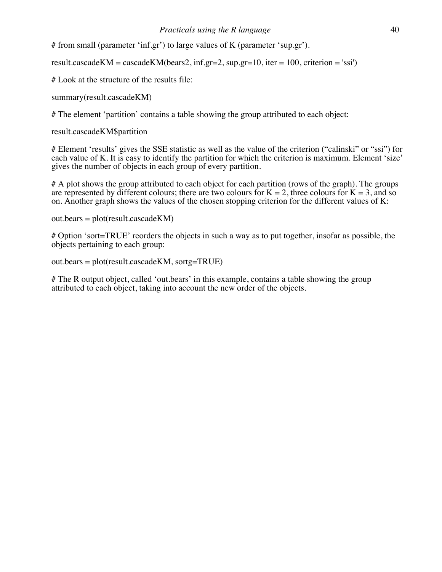# from small (parameter 'inf.gr') to large values of K (parameter 'sup.gr').

result.cascadeKM = cascadeKM(bears2, inf.gr=2, sup.gr=10, iter = 100, criterion = 'ssi')

# Look at the structure of the results file:

summary(result.cascadeKM)

# The element 'partition' contains a table showing the group attributed to each object:

result.cascadeKM\$partition

# Element 'results' gives the SSE statistic as well as the value of the criterion ("calinski" or "ssi") for each value of K. It is easy to identify the partition for which the criterion is maximum. Element 'size' gives the number of objects in each group of every partition.

# A plot shows the group attributed to each object for each partition (rows of the graph). The groups are represented by different colours; there are two colours for  $K = 2$ , three colours for  $K = 3$ , and so on. Another graph shows the values of the chosen stopping criterion for the different values of K:

out.bears = plot(result.cascadeKM)

# Option 'sort=TRUE' reorders the objects in such a way as to put together, insofar as possible, the objects pertaining to each group:

out.bears = plot(result.cascadeKM, sortg=TRUE)

# The R output object, called 'out.bears' in this example, contains a table showing the group attributed to each object, taking into account the new order of the objects.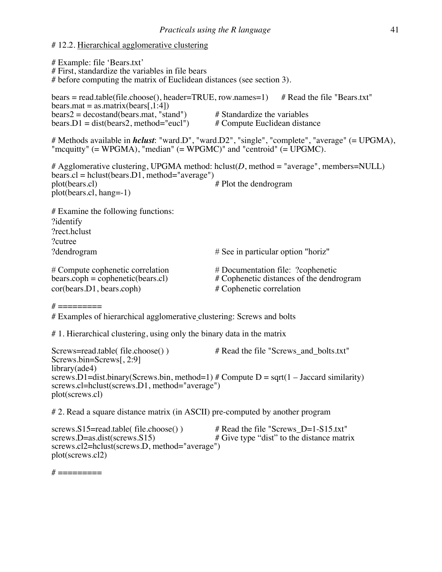# # 12.2. Hierarchical agglomerative clustering

# Example: file 'Bears.txt' # First, standardize the variables in file bears # before computing the matrix of Euclidean distances (see section 3). bears = read.table(file.choose(), header=TRUE, row.names=1)  $\#$  Read the file "Bears.txt"  $bears.math = as.mathix(bears[1:4])$ bears2 = decostand(bears.mat, "stand")  $\#$  Standardize the variables<br>bears.D1 = dist(bears2, method="eucl")  $\#$  Compute Euclidean distance  $bears.D1 = dist(bears2, method="eucl")$ # Methods available in *hclust*: "ward.D", "ward.D2", "single", "complete", "average" (= UPGMA), "mcquitty" (= WPGMA), "median" (= WPGMC)" and "centroid" (= UPGMC). # Agglomerative clustering, UPGMA method: hclust( $D$ , method = "average", members=NULL) bears.cl = hclust(bears.D1, method="average")<br>plot(bears.cl)  $#$  Plot the dendrogram plot(bears.cl, hang=-1) # Examine the following functions: ?identify ?rect.hclust ?cutree ?dendrogram # See in particular option "horiz" # Compute cophenetic correlation # Documentation file: ?cophenetic bears.coph = cophenetic(bears.cl) # Cophenetic distances of the dendrogram cor(bears.D1, bears.coph) # Cophenetic correlation  $# = = = = = = = =$ # Examples of hierarchical agglomerative clustering: Screws and bolts # 1. Hierarchical clustering, using only the binary data in the matrix

Screws=read.table( file.choose() ) # Read the file "Screws and bolts.txt" Screws.bin=Screws[, 2:9] library(ade4) screws.D1=dist.binary(Screws.bin, method=1) # Compute  $D = \sqrt{2}$  = sqrt(1 – Jaccard similarity) screws.cl=hclust(screws.D1, method="average") plot(screws.cl)

# 2. Read a square distance matrix (in ASCII) pre-computed by another program

screws.S15=read.table( file.choose() ) # Read the file "Screws\_D=1-S15.txt"<br>screws.D=as.dist(screws.S15) # Give type "dist" to the distance matr  $#$  Give type "dist" to the distance matrix screws.cl2=hclust(screws.D, method="average") plot(screws.cl2)

 $\#$  ==========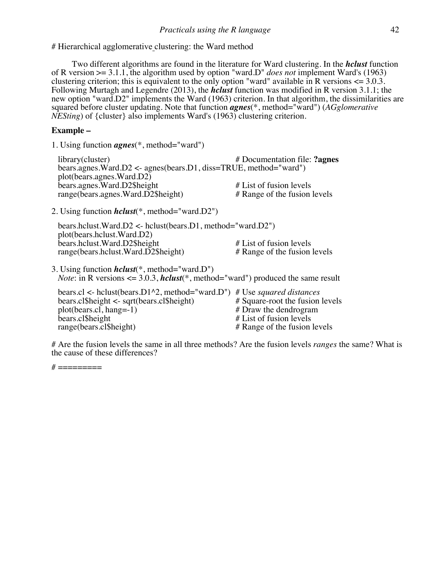# Hierarchical agglomerative clustering: the Ward method

Two different algorithms are found in the literature for Ward clustering. In the *hclust* function of R version >= 3.1.1, the algorithm used by option "ward.D" *does not* implement Ward's (1963) clustering criterion; this is equivalent to the only option "ward" available in R versions  $\leq 3.0.3$ . Following Murtagh and Legendre (2013), the *hclust* function was modified in R version 3.1.1; the new option "ward.D2" implements the Ward (1963) criterion. In that algorithm, the dissimilarities are squared before cluster updating. Note that function *agnes*(\*, method="ward") (*AGglomerative NESting*) of {cluster} also implements Ward's (1963) clustering criterion.

# **Example –**

1. Using function *agnes*(\*, method="ward")

| library(cluster)                                                        | # Documentation file: ?agnes |
|-------------------------------------------------------------------------|------------------------------|
| bears.agnes. Ward. $D2 \le$ agnes (bears. D1, diss=TRUE, method="ward") |                              |
| plot(bears.agnes.Ward.D2)                                               |                              |
| bears.agnes. Ward. D2\$height                                           | $#$ List of fusion levels    |
| range(bears.agnes.Ward.D2\$height)                                      | # Range of the fusion levels |

2. Using function *hclust*(\*, method="ward.D2")

 bears.hclust.Ward.D2 <- hclust(bears.D1, method="ward.D2") plot(bears.hclust.Ward.D2) bears.hclust.Ward.D2\$height # List of fusion levels<br>range(bears.hclust.Ward.D2\$height) # Range of the fusion levels  $range(bears.hclust.Ward.D2$height)$ 

3. Using function *hclust*(\*, method="ward.D") *Note*: in R versions <= 3.0.3, *hclust*(\*, method="ward") produced the same result

| bears.cl <- hclust (bears.D1^2, method="ward.D") # Use <i>squared distances</i> |                                 |
|---------------------------------------------------------------------------------|---------------------------------|
| $bears.class$ bears cl\$height <- sqrt(bears cl\$height)                        | # Square-root the fusion levels |
| $plot(bears.cl, hang=-1)$                                                       | # Draw the dendrogram           |
| bears.cl\$height                                                                | # List of fusion levels         |
| range(bears.cl\$height)                                                         | # Range of the fusion levels    |

# Are the fusion levels the same in all three methods? Are the fusion levels *ranges* the same? What is the cause of these differences?

 $#$  ==========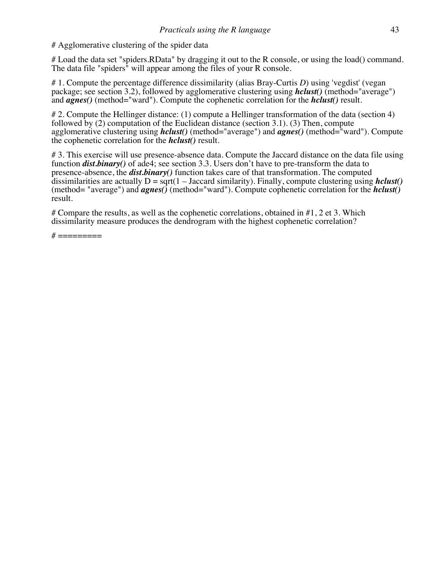# Agglomerative clustering of the spider data

# Load the data set "spiders.RData" by dragging it out to the R console, or using the load() command. The data file "spiders" will appear among the files of your R console.

# 1. Compute the percentage difference dissimilarity (alias Bray-Curtis *D*) using 'vegdist' (vegan package; see section 3.2), followed by agglomerative clustering using *hclust()* (method="average") and *agnes()* (method="ward"). Compute the cophenetic correlation for the *hclust()* result.

# 2. Compute the Hellinger distance: (1) compute a Hellinger transformation of the data (section 4) followed by (2) computation of the Euclidean distance (section 3.1). (3) Then, compute agglomerative clustering using *hclust()* (method="average") and *agnes()* (method="ward"). Compute the cophenetic correlation for the *hclust()* result.

# 3. This exercise will use presence-absence data. Compute the Jaccard distance on the data file using function *dist.binary()* of ade4; see section 3.3. Users don't have to pre-transform the data to presence-absence, the *dist.binary()* function takes care of that transformation. The computed dissimilarities are actually  $D = \sqrt{(1 - \text{Jaccard similarity})}$ . Finally, compute clustering using *hclust()* (method= "average") and *agnes()* (method="ward"). Compute cophenetic correlation for the *hclust()* result.

# Compare the results, as well as the cophenetic correlations, obtained in  $#1, 2$  et 3. Which dissimilarity measure produces the dendrogram with the highest cophenetic correlation?

 $\#$  ==========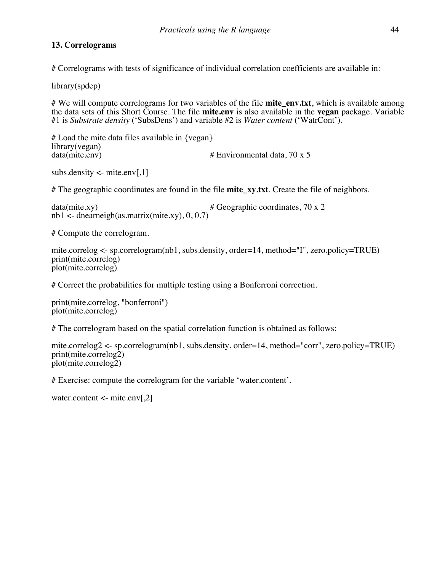# **13. Correlograms**

# Correlograms with tests of significance of individual correlation coefficients are available in:

library(spdep)

# We will compute correlograms for two variables of the file **mite env.txt**, which is available among the data sets of this Short Course. The file **mite.env** is also available in the **vegan** package. Variable #1 is *Substrate density* ('SubsDens') and variable #2 is *Water content* ('WatrCont').

# Load the mite data files available in {vegan} library(vegan)<br>data(mite.env) # Environmental data, 70 x 5

```
subs.density \lt- mite.env[,1]
```
# The geographic coordinates are found in the file **mite\_xy.txt**. Create the file of neighbors.

 $data(mite.xy)$   $\# Geographic coordinates, 70 x 2$ nb1 $\leq$ - dnearneigh(as.matrix(mite.xy), 0, 0.7)

# Compute the correlogram.

```
mite.correlog <- sp.correlogram(nb1, subs.density, order=14, method="I", zero.policy=TRUE)
print(mite.correlog)
plot(mite.correlog)
```
# Correct the probabilities for multiple testing using a Bonferroni correction.

```
print(mite.correlog, "bonferroni")
plot(mite.correlog)
```
# The correlogram based on the spatial correlation function is obtained as follows:

```
mite.correlog2 <- sp.correlogram(nb1, subs.density, order=14, method="corr", zero.policy=TRUE)
print(mite.correlog<sub>2</sub>)plot(mite.correlog2)
```
# Exercise: compute the correlogram for the variable 'water.content'.

water.content <- mite.env[,2]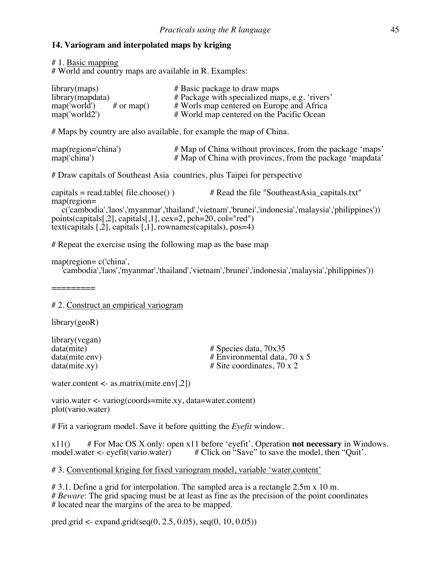#### **14. Variogram and interpolated maps by kriging**

# 1. Basic mapping

# World and country maps are available in R. Examples:

| library (maps)             | # Basic package to draw maps                   |
|----------------------------|------------------------------------------------|
| library(mapdata)           | # Package with specialized maps, e.g. 'rivers' |
| map('world')<br># or map() | # Worls map centered on Europe and Africa      |
| map('world2')              | # World map centered on the Pacific Ocean      |

# Maps by country are also available, for example the map of China.

| $map(region='china')$ | # Map of China without provinces, from the package 'maps' |
|-----------------------|-----------------------------------------------------------|
| map('china')          | # Map of China with provinces, from the package 'mapdata' |

# Draw capitals of Southeast Asia countries, plus Taipei for perspective

capitals = read.table( file.choose() )  $\qquad$  # Read the file "SoutheastAsia\_capitals.txt" map(region=

```
c('cambodia','laos','myanmar','thailand','vietnam','brunei','indonesia','malaysia','philippines'))
points(capitals[,2], capitals[,1], cex=2, pch=20, col="red")
text(capitals [,2], capitals [,1], rownames(capitals), pos=4)
```
# Repeat the exercise using the following map as the base map

map(region= c('china',

'cambodia','laos','myanmar','thailand','vietnam','brunei','indonesia','malaysia','philippines'))

=========

#### # 2. Construct an empirical variogram

library(geoR)

library(vegan)<br>data(mite)

data(mite) <br>data(mite.env) # Species data, 70x35<br># Environmental data. data(mite.env) # Environmental data, 70 x 5<br>data(mite.xy) # Site coordinates, 70 x 2 # Site coordinates, 70 x 2

water.content  $\langle$ - as.matrix(mite.env[.2])

vario.water <- variog(coords=mite.xy, data=water.content) plot(vario.water)

# Fit a variogram model. Save it before quitting the *Eyefit* window.

x11() # For Mac OS X only: open x11 before 'eyefit'. Operation **not necessary** in Windows. model.water <- eyefit(vario.water) # Click on "Save" to save the model, then "Quit'.

# 3. Conventional kriging for fixed variogram model, variable 'water.content'

# 3.1. Define a grid for interpolation. The sampled area is a rectangle 2.5m x 10 m. # *Beware*: The grid spacing must be at least as fine as the precision of the point coordinates # located near the margins of the area to be mapped.

pred.grid <- expand.grid(seq(0, 2.5, 0.05), seq(0, 10, 0.05))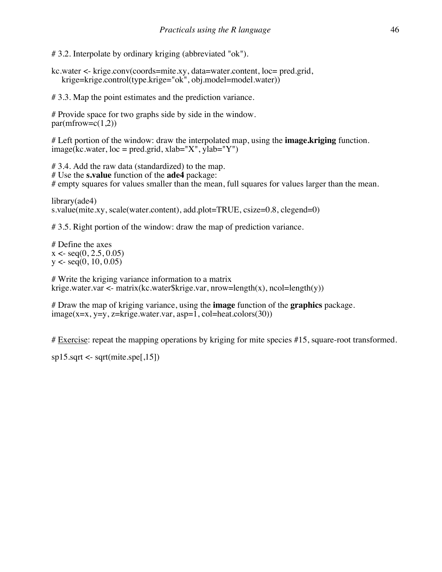# 3.2. Interpolate by ordinary kriging (abbreviated "ok").

kc.water <- krige.conv(coords=mite.xy, data=water.content, loc= pred.grid, krige=krige.control(type.krige="ok", obj.model=model.water))

# 3.3. Map the point estimates and the prediction variance.

# Provide space for two graphs side by side in the window.  $par(mfrow=c(1,2))$ 

# Left portion of the window: draw the interpolated map, using the **image.kriging** function.  $image(kc.water, loc = pred.grid, xlab="X", ylab="Y")$ 

# 3.4. Add the raw data (standardized) to the map. # Use the **s.value** function of the **ade4** package: # empty squares for values smaller than the mean, full squares for values larger than the mean.

library(ade4) s.value(mite.xy, scale(water.content), add.plot=TRUE, csize=0.8, clegend=0)

# 3.5. Right portion of the window: draw the map of prediction variance.

# Define the axes  $x \leq$  seq $(0, 2.5, 0.05)$  $y < -\text{seq}(0, 10, 0.05)$ 

# Write the kriging variance information to a matrix krige.water.var <- matrix(kc.water\$krige.var, nrow=length(x), ncol=length(y))

# Draw the map of kriging variance, using the **image** function of the **graphics** package.  $image(x=x, y=y, z=krige.water.var, asp=1, col=heat-color(30))$ 

# Exercise: repeat the mapping operations by kriging for mite species #15, square-root transformed.

 $sp15.sqrt \leftarrow sqrt(mite.spe[, 15])$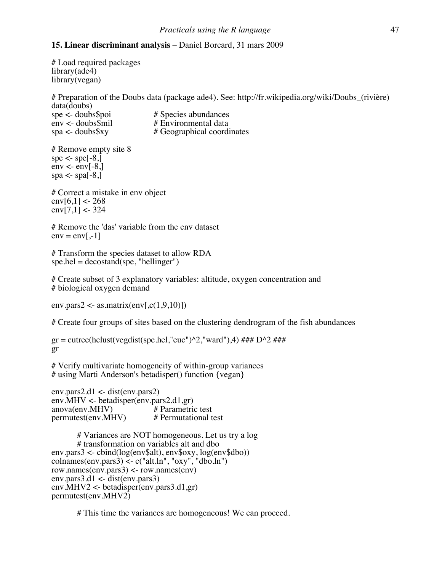# **15. Linear discriminant analysis** – Daniel Borcard, 31 mars 2009

# Load required packages library(ade4) library(vegan)

# Preparation of the Doubs data (package ade4). See: http://fr.wikipedia.org/wiki/Doubs\_(rivière) data(doubs)<br>spe <- doubs\$poi spe <- doubs\$poi # Species abundances<br>env <- doubs\$mil # Environmental data  $env < -$  doubs\$mil # Environmental data<br>spa <- doubs\$xy # Geographical coordi # Geographical coordinates

# Remove empty site 8 spe  $\lt$ - spe $[-8]$  $env < \text{env}[-8]$ spa  $\lt$ - spa[-8,]

# Correct a mistake in env object  $env[6,1] < 268$  $env[7,1] < 324$ 

# Remove the 'das' variable from the env dataset  $env = env[-1]$ 

# Transform the species dataset to allow RDA  $spe.hel = decostand(spe, "hellinger")$ 

# Create subset of 3 explanatory variables: altitude, oxygen concentration and # biological oxygen demand

env.pars2 <- as.matrix(env[ $\text{c}(1,9,10)$ ])

# Create four groups of sites based on the clustering dendrogram of the fish abundances

 $gr = cutree(hclust(vegetist(spe.hel,"euc")^2,'ward"),4) # # D^2 # # #$ gr

# Verify multivariate homogeneity of within-group variances # using Marti Anderson's betadisper() function {vegan}

env.pars2.d1 <- dist(env.pars2) env.MHV <- betadisper(env.pars2.d1,gr)<br>anova(env.MHV) # Parametric test anova(env.MHV) # Parametric test<br>permutest(env.MHV) # Permutational test  $permutest$ (env.MHV)

# Variances are NOT homogeneous. Let us try a log # transformation on variables alt and dbo env.pars3 <- cbind(log(env\$alt), env\$oxy, log(env\$dbo))  $\text{colnames}(\text{env}.\text{pars3}) \leq c("alt.ln", "oxy", "dbo.ln")$ row.names(env.pars3) <- row.names(env) env.pars $3.d1$  <- dist(env.pars $3$ ) env.MHV2 <- betadisper(env.pars3.d1,gr) permutest(env.MHV2)

# This time the variances are homogeneous! We can proceed.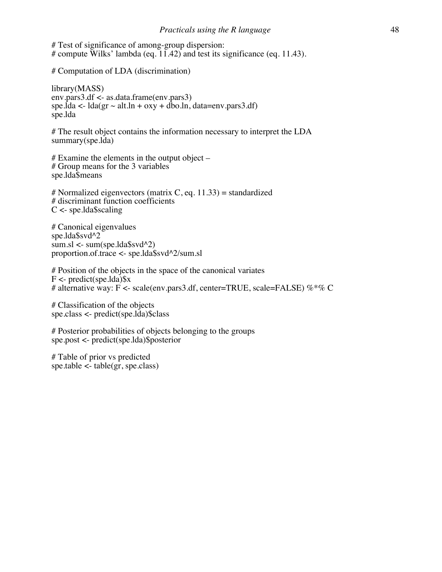# Test of significance of among-group dispersion: # compute Wilks' lambda (eq.  $11.42$ ) and test its significance (eq. 11.43).

# Computation of LDA (discrimination)

library(MASS) env.pars3.df <- as.data.frame(env.pars3) spe.lda <-  $\text{lda}$  (gr  $\sim$  alt.ln + oxy + dbo.ln, data=env.pars3.df) spe.lda

# The result object contains the information necessary to interpret the LDA summary(spe.lda)

# Examine the elements in the output object – # Group means for the 3 variables spe.lda\$means

# Normalized eigenvectors (matrix C, eq.  $11.33$ ) = standardized # discriminant function coefficients  $C \le$ - spe.lda\$scaling

# Canonical eigenvalues spe.lda\$svd^2  $sum.s$   $\langle$  sum(spe.lda\$svd^2) proportion.of.trace <- spe.lda\$svd^2/sum.sl

# Position of the objects in the space of the canonical variates  $F \le$ - predict(spe.lda)\$x # alternative way: F <- scale(env.pars3.df, center=TRUE, scale=FALSE) %\*% C

# Classification of the objects spe.class <- predict(spe.lda)\$class

# Posterior probabilities of objects belonging to the groups spe.post <- predict(spe.lda)\$posterior

# Table of prior vs predicted spe.table  $\lt$ - table(gr, spe.class)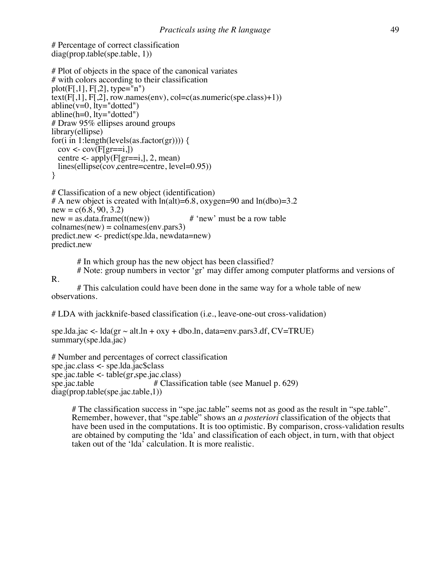# Percentage of correct classification diag(prop.table(spe.table, 1))

R.

```
# Plot of objects in the space of the canonical variates
# with colors according to their classification
plot(F[,1], F[,2], type=\overline{m}")
text(F[,1], F[,2], row.names(env), col=c(as.numeric(spe.class)+1))abline(v=0, lty='dotted")abline(h=0, lty="dotted")
# Draw 95% ellipses around groups
library(ellipse)
for(i in 1:length(levels(as.factor(gr)))) {
 cov \leq cov(F[gr == i,])centre \leq-apply(F[gr==i,], 2, mean)
  lines(ellipse(cov,centre=centre, level=0.95))
}
```

```
# Classification of a new object (identification)
# A new object is created with ln(alt)=6.8, oxygen=90 and ln(dbo)=3.2new = c(6.8, 90, 3.2)new = as.data frame(t(new)) # 'new' must be a row table
collnames(new) = colnames(env.parse3)predict.new <- predict(spe.lda, newdata=new)
predict.new
```
# In which group has the new object has been classified?

# Note: group numbers in vector 'gr' may differ among computer platforms and versions of

# This calculation could have been done in the same way for a whole table of new observations.

# LDA with jackknife-based classification (i.e., leave-one-out cross-validation)

```
spe.lda.jac <- lda(gr \sim alt.ln + oxy + dbo.ln, data=env.pars3.df, CV=TRUE)summary(spe.lda.jac)
```

```
# Number and percentages of correct classification
spe.jac.class <- spe.lda.jac$class
spe.jac.table <- table(gr,spe.jac.class)<br>spe.jac.table # Classi
                                  # Classification table (see Manuel p. 629)
diag(prop.table(spe.jac.table,1))
```
# The classification success in "spe.jac.table" seems not as good as the result in "spe.table". Remember, however, that "spe.table" shows an *a posteriori* classification of the objects that have been used in the computations. It is too optimistic. By comparison, cross-validation results are obtained by computing the 'lda' and classification of each object, in turn, with that object taken out of the 'lda' calculation. It is more realistic.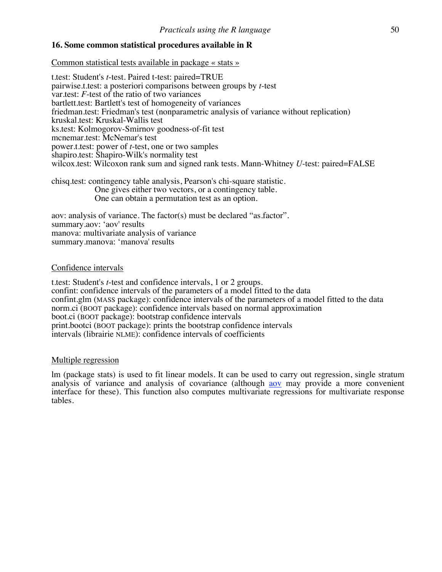# **16. Some common statistical procedures available in R**

Common statistical tests available in package « stats »

t.test: Student's *t*-test. Paired t-test: paired=TRUE pairwise.t.test: a posteriori comparisons between groups by *t*-test var.test: *F*-test of the ratio of two variances bartlett.test: Bartlett's test of homogeneity of variances friedman.test: Friedman's test (nonparametric analysis of variance without replication) kruskal.test: Kruskal-Wallis test ks.test: Kolmogorov-Smirnov goodness-of-fit test mcnemar.test: McNemar's test power.t.test: power of *t*-test, one or two samples shapiro.test: Shapiro-Wilk's normality test wilcox.test: Wilcoxon rank sum and signed rank tests. Mann-Whitney *U*-test: paired=FALSE

chisq.test: contingency table analysis, Pearson's chi-square statistic. One gives either two vectors, or a contingency table. One can obtain a permutation test as an option.

aov: analysis of variance. The factor(s) must be declared "as.factor". summary.aov: 'aov' results manova: multivariate analysis of variance summary.manova: 'manova' results

#### Confidence intervals

t.test: Student's *t*-test and confidence intervals, 1 or 2 groups. confint: confidence intervals of the parameters of a model fitted to the data confint.glm (MASS package): confidence intervals of the parameters of a model fitted to the data norm.ci (BOOT package): confidence intervals based on normal approximation boot.ci (BOOT package): bootstrap confidence intervals print.bootci (BOOT package): prints the bootstrap confidence intervals intervals (librairie NLME): confidence intervals of coefficients

#### Multiple regression

lm (package stats) is used to fit linear models. It can be used to carry out regression, single stratum analysis of variance and analysis of covariance (although aov may provide a more convenient interface for these). This function also computes multivariate regressions for multivariate response tables.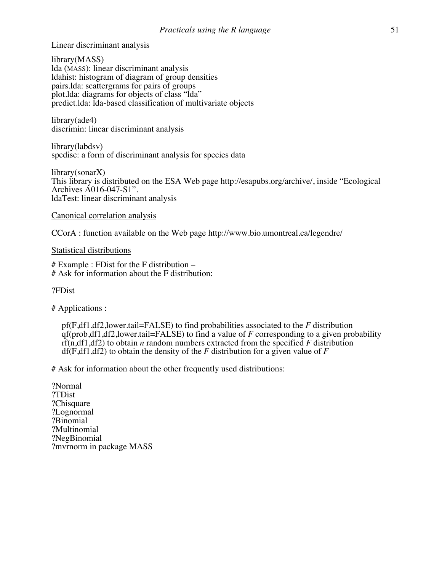Linear discriminant analysis

library(MASS) lda (MASS): linear discriminant analysis ldahist: histogram of diagram of group densities pairs.lda: scattergrams for pairs of groups plot.lda: diagrams for objects of class "lda" predict.lda: lda-based classification of multivariate objects

library(ade4) discrimin: linear discriminant analysis

library(labdsv) spcdisc: a form of discriminant analysis for species data

library(sonarX) This library is distributed on the ESA Web page http://esapubs.org/archive/, inside "Ecological Archives A016-047-S1". ldaTest: linear discriminant analysis

## Canonical correlation analysis

CCorA : function available on the Web page http://www.bio.umontreal.ca/legendre/

# Statistical distributions

# Example : FDist for the F distribution –<br># Ask for information about the F distribution:

?FDist

# Applications :

pf(F,df1,df2,lower.tail=FALSE) to find probabilities associated to the *F* distribution qf(prob,df1,df2,lower.tail=FALSE) to find a value of *F* corresponding to a given probability rf(n,df1,df2) to obtain *n* random numbers extracted from the specified *F* distribution df(F,df1,df2) to obtain the density of the *F* distribution for a given value of *F*

# Ask for information about the other frequently used distributions:

?Normal ?TDist ?Chisquare ?Lognormal ?Binomial ?Multinomial ?NegBinomial ?mvrnorm in package MASS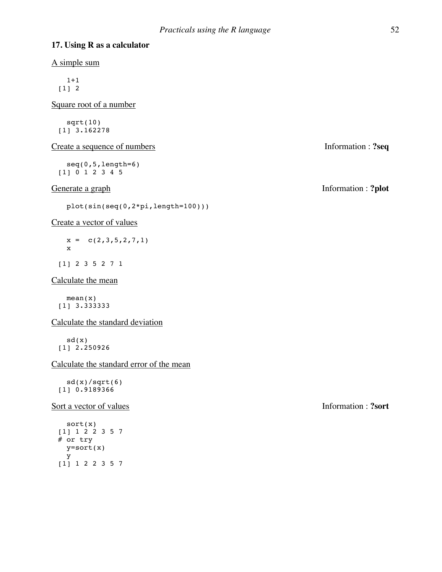# **17. Using R as a calculator**

A simple sum

 1+1 [1] 2

Square root of a number

 sqrt(10) [1] 3.162278

Create a sequence of numbers Information :  $?seq$ 

 seq(0,5,length=6) [1] 0 1 2 3 4 5

plot(sin(seq(0,2\*pi,length=100)))

#### Create a vector of values

 $x = c(2,3,5,2,7,1)$ x

[1] 2 3 5 2 7 1

Calculate the mean

 mean(x) [1] 3.333333

Calculate the standard deviation

 sd(x) [1] 2.250926

Calculate the standard error of the mean

 $sd(x)/sqrt(6)$ [1] 0.9189366

Sort a vector of values **Information** : **?sort** 

 sort(x) [1] 1 2 2 3 5 7 # or try y=sort(x) y [1] 1 2 2 3 5 7

Generate a graph Information : **?plot**